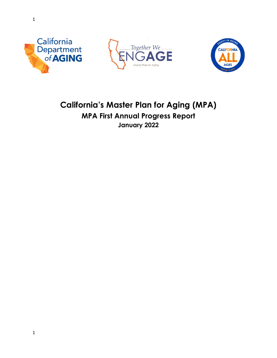





# **California's Master Plan for Aging (MPA) MPA First Annual Progress Report January 2022**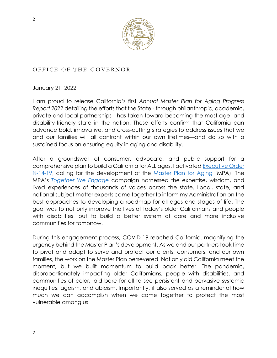

## <span id="page-1-0"></span>OFFICE OF THE GOVERNOR

January 21, 2022

I am proud to release California's first *Annual Master Plan for Aging Progress Report 2022* detailing the efforts that the State - through philanthropic, academic, private and local partnerships - has taken toward becoming the most age- and disability-friendly state in the nation. These efforts confirm that California can advance bold, innovative, and cross-cutting strategies to address issues that we and our families will all confront within our own lifetimes—and do so with a sustained focus on ensuring equity in aging and disability.

After a groundswell of consumer, advocate, and public support for a comprehensive plan to build a California for ALL ages, I activated [Executive Order](https://www.gov.ca.gov/wp-content/uploads/2019/06/6.10.19-Master-Plan-for-Aging-EO.pdf)  [N-14-19,](https://www.gov.ca.gov/wp-content/uploads/2019/06/6.10.19-Master-Plan-for-Aging-EO.pdf) calling for the development of the [Master Plan for Aging](https://mpa.aging.ca.gov/) (MPA). The MPA's *[Together We Engage](https://www.engageca.org/)* campaign harnessed the expertise, wisdom, and lived experiences of thousands of voices across the state. Local, state, and national subject matter experts came together to inform my Administration on the best approaches to developing a roadmap for all ages and stages of life. The goal was to not only improve the lives of today's older Californians and people with disabilities, but to build a better system of care and more inclusive communities for tomorrow.

During this engagement process, COVID-19 reached California, magnifying the urgency behind the Master Plan's development. As we and our partners took time to pivot and adapt to serve and protect our clients, consumers, and our own families, the work on the Master Plan persevered. Not only did California meet the moment, but we built momentum to build back better. The pandemic, disproportionately impacting older Californians, people with disabilities, and communities of color, laid bare for all to see persistent and pervasive systemic inequities, ageism, and ableism. Importantly, it also served as a reminder of how much we can accomplish when we come together to protect the most vulnerable among us.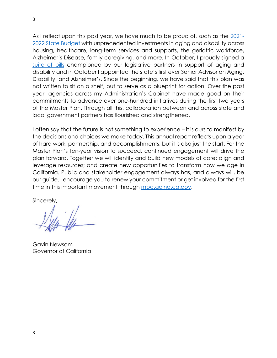As I reflect upon this past year, we have much to be proud of, such as the [2021-](https://aging.ca.gov/download.ashx?lE0rcNUV0zYvPOOR%2f3K2pQ%3d%3d) [2022 State Budget](https://aging.ca.gov/download.ashx?lE0rcNUV0zYvPOOR%2f3K2pQ%3d%3d) with unprecedented investments in aging and disability across housing, healthcare, long-term services and supports, the geriatric workforce, Alzheimer's Disease, family caregiving, and more. In October, I proudly signed a [suite of bills](https://aging.ca.gov/Information_and_Resources/Legislation/) championed by our legislative partners in support of aging and disability and in October I appointed the state's first ever Senior Advisor on Aging, Disability, and Alzheimer's. Since the beginning, we have said that this plan was not written to sit on a shelf, but to serve as a blueprint for action. Over the past year, agencies across my Administration's Cabinet have made good on their commitments to advance over one-hundred initiatives during the first two years of the Master Plan. Through all this, collaboration between and across state and local government partners has flourished and strengthened.

I often say that the future is not something to experience – it is ours to manifest by the decisions and choices we make today. This annual report reflects upon a year of hard work, partnership, and accomplishments, but it is also just the start. For the Master Plan's ten-year vision to succeed, continued engagement will drive the plan forward. Together we will identify and build new models of care; align and leverage resources; and create new opportunities to transform how we age in California. Public and stakeholder engagement always has, and always will, be our guide. I encourage you to renew your commitment or get involved for the first time in this important movement through [mpa.aging.ca.gov.](https://mpa.aging.ca.gov/)

Sincerely,

Gavin Newsom Governor of California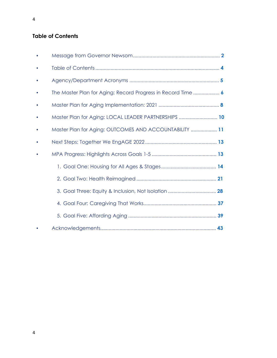## **Table of Contents**

| The Master Plan for Aging: Record Progress in Record Time  6 |  |
|--------------------------------------------------------------|--|
|                                                              |  |
| Master Plan for Aging: LOCAL LEADER PARTNERSHIPS  10         |  |
| Master Plan for Aging: OUTCOMES AND ACCOUNTABILITY  11       |  |
|                                                              |  |
|                                                              |  |
|                                                              |  |
|                                                              |  |
|                                                              |  |
|                                                              |  |
|                                                              |  |
|                                                              |  |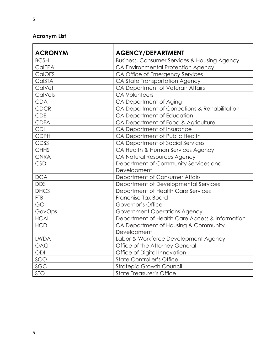# <span id="page-4-0"></span>**Acronym List**

| <b>ACRONYM</b><br><b>BCSH</b> | <b>AGENCY/DEPARTMENT</b><br>Business, Consumer Services & Housing Agency |
|-------------------------------|--------------------------------------------------------------------------|
| CalEPA                        |                                                                          |
|                               | CA Environmental Protection Agency                                       |
| CalOES                        | CA Office of Emergency Services                                          |
| CalSTA                        | CA State Transportation Agency                                           |
| CalVet                        | CA Department of Veteran Affairs                                         |
| CalVols                       | <b>CA Volunteers</b>                                                     |
| <b>CDA</b>                    | CA Department of Aging                                                   |
| <b>CDCR</b>                   | CA Department of Corrections & Rehabilitation                            |
| <b>CDE</b>                    | CA Department of Education                                               |
| <b>CDFA</b>                   | CA Department of Food & Agriculture                                      |
| <b>CDI</b>                    | CA Department of Insurance                                               |
| <b>CDPH</b>                   | CA Department of Public Health                                           |
| CDSS                          | CA Department of Social Services                                         |
| <b>CHHS</b>                   | CA Health & Human Services Agency                                        |
| <b>CNRA</b>                   | CA Natural Resources Agency                                              |
| <b>CSD</b>                    | Department of Community Services and                                     |
|                               | Development                                                              |
| <b>DCA</b>                    | Department of Consumer Affairs                                           |
| <b>DDS</b>                    | Department of Developmental Services                                     |
| <b>DHCS</b>                   | Department of Health Care Services                                       |
| <b>FTB</b>                    | Franchise Tax Board                                                      |
| GO                            | Governor's Office                                                        |
| GovOps                        | Government Operations Agency                                             |
| <b>HCAI</b>                   | Department of Health Care Access & Information                           |
| <b>HCD</b>                    | CA Department of Housing & Community                                     |
|                               | Development                                                              |
| <b>LWDA</b>                   | Labor & Workforce Development Agency                                     |
| <b>OAG</b>                    | Office of the Attorney General                                           |
| ODI                           | Office of Digital Innovation                                             |
| SCO                           | <b>State Controller's Office</b>                                         |
| SGC                           | <b>Strategic Growth Council</b>                                          |
| <b>STO</b>                    | <b>State Treasurer's Office</b>                                          |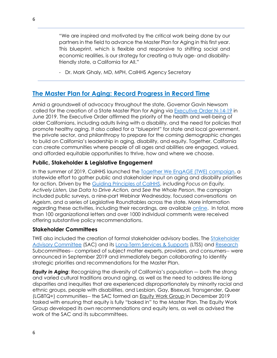"We are inspired and motivated by the critical work being done by our partners in the field to advance the Master Plan for Aging in this first year. This blueprint, which is flexible and responsive to shifting social and economic realities, is our strategy for creating a truly age- and disabilityfriendly state, a California for All."

- Dr. Mark Ghaly, MD, MPH, CalHHS Agency Secretary

# <span id="page-5-0"></span>**[The Master Plan for Aging: Record Progress in Record Time](https://mpa.aging.ca.gov/StakeholderProcess/)**

Amid a groundswell of advocacy throughout the state, Governor Gavin Newsom called for the creation of a State Master Plan for Aging via **[Executive Order N-14-19](https://www.gov.ca.gov/wp-content/uploads/2019/06/6.10.19-Master-Plan-for-Aging-EO.pdf)** in June 2019. The Executive Order affirmed the priority of the health and well-being of older Californians, including adults living with a disability, and the need for policies that promote healthy aging. It also called for a "blueprint" for state and local government, the private sector, and philanthropy to prepare for the coming demographic changes to build on California's leadership in aging, disability, and equity. Together, California can create communities where people of all ages and abilities are engaged, valued, and afforded equitable opportunities to thrive, how and where we choose.

### **Public, Stakeholder & Legislative Engagement**

In the summer of 2019, CalHHS launched the [Together We EngAGE \(TWE\) campaign,](https://www.engageca.org/) a statewide effort to gather public and stakeholder input on aging and disability priorities for action. Driven by the [Guiding Principles of CalHHS,](https://www.chhs.ca.gov/guiding-principles-strategic-priorities/) including *Focus on Equity, Actively Listen, Use Data to Drive Action,* and *See the Whole Person*, the campaign included public surveys, a nine-part Webinar Wednesday, focused conversations on Ageism, and a series of Legislative Roundtables across the state. More information regarding these activities, including their recordings, are available [online.](https://www.chhs.ca.gov/home/master-plan-for-aging/master-plan-for-aging-engagement-activities/) In total, more than 100 organizational letters and over 1000 individual comments were received offering substantive policy recommendations.

#### **Stakeholder Committees**

TWE also included the creation of formal stakeholder advisory bodies. The **Stakeholder** [Advisory Committee](https://www.chhs.ca.gov/master-plan-for-aging-stakeholder-advisory-committees-page/#final-stakeholder-recommendations-reports) (SAC) and its [Long-Term Services & Supports](https://www.chhs.ca.gov/master-plan-for-aging-stakeholder-advisory-committees-page/#about-the-ltss-subcommittee) (LTSS) and [Research](https://www.chhs.ca.gov/master-plan-for-aging-stakeholder-advisory-committees-page/#about-the-research-subcommittee) Subcommittees-- comprised of subject matter experts, providers, and consumers-- were announced in September 2019 and immediately began collaborating to identify strategic priorities and recommendations for the Master Plan.

*Equity in Aging: Recognizing the diversity of California's population – both the strong* and varied cultural traditions around aging, as well as the need to address life-long disparities and inequities that are experienced disproportionately by minority racial and ethnic groups, people with disabilities, and Lesbian, Gay, Bisexual, Transgender, Queer (LGBTQ+) communities-- the SAC formed an [Equity Work Group i](https://www.chhs.ca.gov/home/master-plan-for-aging/subcommittees/equity-work-group/)n December 2019 tasked with ensuring that equity is fully "baked in" to the Master Plan. The Equity Work Group developed its own recommendations and equity lens, as well as advised the work of the SAC and its subcommittees.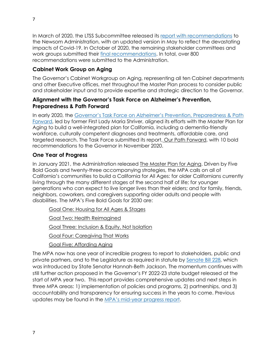In March of 2020, the LTSS Subcommittee released its [report with recommendations](https://cdn-west-prod-chhs-01.dsh.ca.gov/chhs/uploads/2020/05/MPA-LTSS-Subcommittee-Report_FINAL-May-2020.pdf) to the Newsom Administration, with an updated version in May to reflect the devastating impacts of Covid-19. In October of 2020, the remaining stakeholder committees and work groups submitted their [final recommendations.](https://www.chhs.ca.gov/master-plan-for-aging-stakeholder-advisory-committees-page/) In total, over 800 recommendations were submitted to the Administration.

## **Cabinet Work Group on Aging**

The Governor's Cabinet Workgroup on Aging, representing all ten Cabinet departments and other Executive offices, met throughout the Master Plan process to consider public and stakeholder input and to provide expertise and strategic direction to the Governor.

#### **Alignment with the Governor's Task Force on Alzheimer's Prevention, Preparedness & Path Forward**

In early 2020, the [Governor's Task Force on Alzheimer's Prevention, Preparedness & Path](http://caalztaskforce.org/#:~:text=The%20mission%20of%20the%20Task,for%20an%20aging%20state%20and)  [Forward,](http://caalztaskforce.org/#:~:text=The%20mission%20of%20the%20Task,for%20an%20aging%20state%20and) led by former First Lady Maria Shriver, aligned its efforts with the Master Plan for Aging to build a well-integrated plan for California, including a dementia-friendly workforce, culturally competent diagnoses and treatments, affordable care, and targeted research. The Task Force submitted its report, [Our Path Forward,](http://caalztaskforce.org/wp-content/uploads/2020/11/2020-Alzheimers-Report_201118.pdf) with 10 bold recommendations to the Governor in November 2020.

### **One Year of Progress**

In January 2021, the Administration released [The Master Plan for Aging.](https://mpa.aging.ca.gov/) Driven by Five Bold Goals and twenty-three accompanying strategies, the MPA calls on all of California's communities to build a California for All Ages: for older Californians currently living through the many different stages of the second half of life; for younger generations who can expect to live longer lives than their elders; and for family, friends, neighbors, coworkers, and caregivers supporting older adults and people with disabilities. The MPA's Five Bold Goals for 2030 are:

[Goal One: Housing for All Ages & Stages](https://mpa.aging.ca.gov/Goals/1#goal-header)

[Goal Two: Health Reimagined](https://mpa.aging.ca.gov/Goals/2#goal-header)

[Goal Three: Inclusion & Equity, Not Isolation](https://mpa.aging.ca.gov/Goals/3#goal-header)

[Goal Four: Caregiving That Works](https://mpa.aging.ca.gov/Goals/4#goal-header)

[Goal Five: Affording Aging](https://mpa.aging.ca.gov/Goals/5#goal-header)

The MPA now has one year of incredible progress to report to stakeholders, public and private partners, and to the Legislature as required in statute by [Senate Bill](https://leginfo.legislature.ca.gov/faces/billNavClient.xhtml?bill_id=201920200SB228) 228, which was introduced by State Senator Hannah-Beth Jackson. The momentum continues with still further action proposed in the Governor's FY 2022-23 state budget released at the start of MPA year two. This report provides comprehensive updates and next steps in three MPA areas: 1) implementation of policies and programs, 2) partnerships, and 3) accountability and transparency for ensuring success in the years to come. Previous updates may be found in the MPA's mid[-year progress report.](https://aging.ca.gov/download.ashx?lE0rcNUV0zais6DigSXF6w%3d%3d)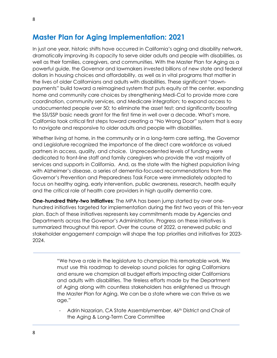<span id="page-7-0"></span>In just one year, historic shifts have occurred in California's aging and disability network, dramatically improving its capacity to serve older adults and people with disabilities, as well as their families, caregivers, and communities. With the Master Plan for Aging as a powerful guide, the Governor and lawmakers invested billions of new state and federal dollars in housing choices and affordability, as well as in vital programs that matter in the lives of older Californians and adults with disabilities. These significant "downpayments" build toward a reimagined system that puts equity at the center, expanding home and community care choices by strengthening Medi-Cal to provide more care coordination, community services, and Medicare integration; to expand access to undocumented people over 50; to eliminate the asset test; and significantly boosting the SSI/SSP basic needs grant for the first time in well over a decade. What's more, California took critical first steps toward creating a "No Wrong Door" system that is easy to navigate and responsive to older adults and people with disabilities.

Whether living at home, in the community or in a long-term care setting, the Governor and Legislature recognized the importance of the direct care workforce as valued partners in access, quality, and choice. Unprecedented levels of funding were dedicated to front-line staff and family caregivers who provide the vast majority of services and supports in California. And, as the state with the highest population living with Alzheimer's disease, a series of dementia-focused recommendations from the Governor's Prevention and Preparedness Task Force were immediately adopted to focus on healthy aging, early intervention, public awareness, research, health equity and the critical role of health care providers in high quality dementia care.

**One-hundred thirty-two Initiatives**: The MPA has been jump started by over onehundred initiatives targeted for implementation during the first two years of this ten-year plan. Each of these initiatives represents key commitments made by Agencies and Departments across the Governor's Administration. Progress on these initiatives is summarized throughout this report. Over the course of 2022, a renewed public and stakeholder engagement campaign will shape the top priorities and initiatives for 2023- 2024.

> "We have a role in the legislature to champion this remarkable work. We must use this roadmap to develop sound policies for aging Californians and ensure we champion all budget efforts impacting older Californians and adults with disabilities. The tireless efforts made by the Department of Aging along with countless stakeholders has enlightened us through the Master Plan for Aging. We can be a state where we can thrive as we age."

> Adrin Nazarian, CA State Assemblymember, 46<sup>th</sup> District and Chair of the Aging & Long-Term Care Committee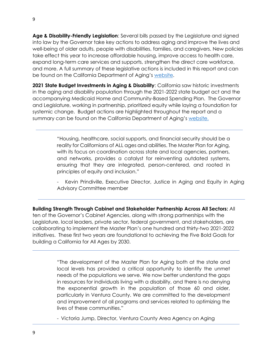**Age & Disability-Friendly Legislation**: Several bills passed by the Legislature and signed into law by the Governor take key actions to address aging and improve the lives and well-being of older adults, people with disabilities, families, and caregivers. New policies take effect this year to increase affordable housing, improve access to health care, expand long-term care services and supports, strengthen the direct care workforce, and more. A full summary of these legislative actions is included in this report and can be found on the California Department of Aging's [website.](https://aging.ca.gov/Information_and_Resources/Legislation/)

**2021 State Budget Investments in Aging & Disability**: California saw historic investments in the aging and disability population through the 2021-2022 state budget act and the accompanying Medicaid Home and Community-Based Spending Plan. The Governor and Legislature, working in partnership, prioritized equity while laying a foundation for systemic change. Budget actions are highlighted throughout the report and a summary can be found on the California Department of Aging's [website.](https://aging.ca.gov/download.ashx?lE0rcNUV0zYvPOOR%2f3K2pQ%3d%3d)

> "Housing, healthcare, social supports, and financial security should be a reality for Californians of ALL ages and abilities. The Master Plan for Aging, with its focus on coordination across state and local agencies, partners, and networks, provides a catalyst for reinventing outdated systems, ensuring that they are integrated, person-centered, and rooted in principles of equity and inclusion."

Kevin Prindiville, Executive Director, Justice in Aging and Equity in Aging Advisory Committee member

**Building Strength Through Cabinet and Stakeholder Partnership Across All Sectors:** All ten of the Governor's Cabinet Agencies, along with strong partnerships with the Legislature, local leaders, private sector, federal government, and stakeholders, are collaborating to implement the Master Plan's one hundred and thirty-two 2021-2022 initiatives. These first two years are foundational to achieving the Five Bold Goals for building a California for All Ages by 2030.

> "The development of the Master Plan for Aging both at the state and local levels has provided a critical opportunity to identify the unmet needs of the populations we serve. We now better understand the gaps in resources for individuals living with a disability, and there is no denying the exponential growth in the population of those 60 and older, particularly in Ventura County. We are committed to the development and improvement of all programs and services related to optimizing the lives of these communities."

- Victoria Jump, Director, Ventura County Area Agency on Aging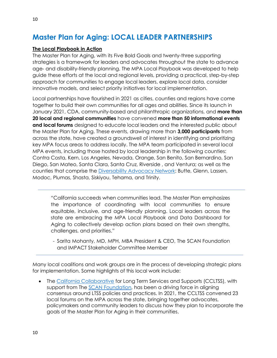# <span id="page-9-0"></span>**Master Plan for Aging: LOCAL LEADER PARTNERSHIPS**

#### **[The Local Playbook in Action](https://mpa.aging.ca.gov/LocalPlaybook/)**

The Master Plan for Aging, with its Five Bold Goals and twenty-three supporting strategies is a framework for leaders and advocates throughout the state to advance age- and disability-friendly planning. The MPA Local Playbook was developed to help guide these efforts at the local and regional levels, providing a practical, step-by-step approach for communities to engage local leaders, explore local data, consider innovative models, and select priority initiatives for local implementation.

Local partnerships have flourished in 2021 as cities, counties and regions have come together to build their own communities for all ages and abilities. Since its launch in January 2021, CDA, community-based and philanthropic organizations, and **more than 20 local and regional communities** have convened **more than 50 informational events and local forums** designed to educate local leaders and the interested public about the Master Plan for Aging. These events, drawing more than **3,000 participants** from across the state, have created a groundswell of interest in identifying and prioritizing key MPA focus areas to address locally. The MPA team participated in several local MPA events, including those hosted by local leadership in the following counties: Contra Costa, Kern, Los Angeles, Nevada, Orange, San Benito, San Bernardino, San Diego, San Mateo, Santa Clara, Santa Cruz, Riverside , and Ventura; as well as the counties that comprise the [Diversability Advocacy Network:](https://danatdac.org/dan/) Butte, Glenn, Lassen, Modoc, Plumas, Shasta, Siskiyou, Tehama, and Trinity.

"California succeeds when communities lead. The Master Plan emphasizes the importance of coordinating with local communities to ensure equitable, inclusive, and age-friendly planning. Local leaders across the state are embracing the MPA Local Playbook and Data Dashboard for Aging to collectively develop action plans based on their own strengths, challenges, and priorities."

- Sarita Mohanty, MD, MPH, MBA President & CEO, The SCAN Foundation and IMPACT Stakeholder Committee Member

Many local coalitions and work groups are in the process of developing strategic plans for implementation. Some highlights of this local work include:

• The [California Collaborative](https://www.ccltss.org/) for Long Term Services and Supports (CCLTSS), with support from The [SCAN Foundation,](https://www.thescanfoundation.org/) has been a driving force in aligning consensus around LTSS policies and practices. In 2021, the CCLTSS convened 23 local forums on the MPA across the state, bringing together advocates, policymakers and community leaders to discuss how they plan to incorporate the goals of the Master Plan for Aging in their communities.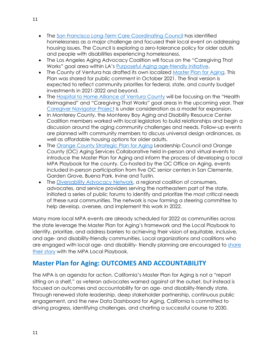- The [San Francisco Long-Term Care Coordinating Council](https://www.sfhsa.org/about/commissions-committees/long-term-care-coordinating-council-ltccc) has identified homelessness as a major challenge and focused their local event on addressing housing issues. The Council is exploring a zero-tolerance policy for older adults and people with disabilities experiencing homelessness.
- The Los Angeles Aging Advocacy Coalition will focus on the "Caregiving That Works" goal area within LA's [Purposeful Aging age-friendly initiative.](https://www.purposefulagingla.com/)
- The County of Ventura has drafted its own localized [Master Plan for Aging.](https://s29358.pcdn.co/wp-content/uploads/COUNTY-OF-VENTURA-Master-Plan-for-Aging-for-Public-Comment-1.pdf) This Plan was shared for public comment in October 2021. The final version is expected to reflect community priorities for federal, state, and county budget investments in 2021-2022 and beyond.
- The [Hospital to Home Alliance of Ventura County](http://www.hospitaltohomealliance.org/) will be focusing on the "Health Reimagined" and "Caregiving That Works" goal areas in the upcoming year. Their [Caregiver Navigator Project](https://vccf.org/wp-content/uploads/2019/09/caregiver-navigation-toolkit-july-2019.pdf) is under consideration as a model for expansion.
- In Monterey County, the Monterey Bay Aging and Disability Resource Center Coalition members worked with local legislators to build relationships and begin a discussion around the aging community challenges and needs. Follow-up events are planned with community members to discuss universal design ordinances, as well as affordable housing options for older adults.
- The [Orange County Strategic Plan for Aging](https://www.ocagingplan.org/) Leadership Council and Orange County (OC) Aging Services Collaborative held in-person and virtual events to introduce the Master Plan for Aging and inform the process of developing a local MPA Playbook for the county. Co-hosted by the OC Office on Aging, events included in-person participation from five OC senior centers in San Clemente, Garden Grove, Buena Park, Irvine and Tustin.
- The [Diversability Advocacy Network,](https://danatdac.org/dan/) a regional coalition of consumers, advocates, and service providers serving the northeastern part of the state, initiated a series of public forums to identify and prioritize the most critical needs of these rural communities. The network is now forming a steering committee to help develop, oversee, and implement this work in 2022.

Many more local MPA events are already scheduled for 2022 as communities across the state leverage the Master Plan for Aging's framework and the Local Playbook to identify, prioritize, and address barriers to achieving their vision of equitable, inclusive, and age- and disability-friendly communities. Local organizations and coalitions who are engaged with local age- and disability- friendly planning are encouraged to [share](https://mpa.aging.ca.gov/LocalPlayBook/ShareYourStory)  [their story](https://mpa.aging.ca.gov/LocalPlayBook/ShareYourStory) with the MPA Local Playbook.

# <span id="page-10-0"></span>**Master Plan for Aging: OUTCOMES AND ACCOUNTABILITY**

The MPA is an agenda for action. California's Master Plan for Aging is not a "report sitting on a shelf," as veteran advocates warned against at the outset, but instead is focused on outcomes and accountability for an age- and disability-friendly state. Through renewed state leadership, deep stakeholder partnership, continuous public engagement, and the new Data Dashboard for Aging, California is committed to driving progress, identifying challenges, and charting a successful course to 2030.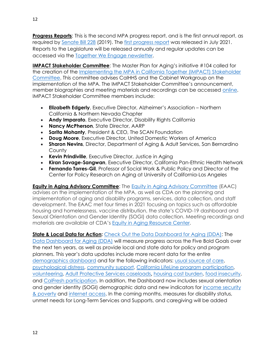**Progress Reports**: This is the second MPA progress report, and is the first annual report, as required by [Senate Bill 228](https://leginfo.legislature.ca.gov/faces/billNavClient.xhtml?bill_id=201920200SB228) (2019). The [first progress report](https://aging.ca.gov/download.ashx?lE0rcNUV0zais6DigSXF6w%3d%3d) was released in July 2021. Reports to the Legislature will be released annually and regular updates can be accessed via the [Together We Engage newsletter.](https://aging.us4.list-manage.com/subscribe?id=173d0260aa&u=885fd0fb81501c74e82ac45b1)

**IMPACT Stakeholder Committee**: The Master Plan for Aging's initiative #104 called for the creation of the [Implementing the MPA in California Together \(IMPACT\) Stakeholder](https://www.chhs.ca.gov/home/master-plan-for-aging/#impact-stakeholder-committee-meeting-information)  [Committee.](https://www.chhs.ca.gov/home/master-plan-for-aging/#impact-stakeholder-committee-meeting-information) This committee advises CalHHS and the Cabinet Workgroup on the implementation of the MPA. The IMPACT Stakeholder Committee's announcement, member biographies and meeting materials and recordings can be accessed [online.](https://www.chhs.ca.gov/home/master-plan-for-aging/#overview) IMPACT Stakeholder Committee members include:

- **Elizabeth Edgerly**, Executive Director, Alzheimer's Association Northern California & Northern Nevada Chapter
- **Andy Imparato**, Executive Director, Disability Rights California
- **Nancy McPherson**, State Director, AARP
- **Sarita Mohanty**, President & CEO, The SCAN Foundation
- **Doug Moore**, Executive Director, United Domestic Workers of America
- **Sharon Nevins**, Director, Department of Aging & Adult Services, San Bernardino **County**
- **Kevin Prindiville**, Executive Director, Justice in Aging
- **Kiran Savage-Sangwan**, Executive Director, California Pan-Ethnic Health Network
- **Fernando Torres-Gil**, Professor of Social Work & Public Policy and Director of the Center for Policy Research on Aging at University of California-Los Angeles

**[Equity in Aging Advisory Committee](https://aging.ca.gov/equity_in_aging_resource_center/#implementation-meetings):** The [Equity in Aging Advisory Committee](https://aging.ca.gov/equity_in_aging_resource_center/#implementation-meetings) (EAAC) advises on the implementation of the MPA, as well as CDA on the planning and implementation of aging and disability programs, services, data collection, and staff development. The EAAC met four times in 2021 focusing on topics such as affordable housing and homelessness, vaccine distribution, the state's COVID-19 dashboard and Sexual Orientation and Gender Identity (SOGI) data collection. Meeting recordings and materials are available at CDA's [Equity in Aging Resource Center.](https://aging.ca.gov/equity_in_aging_resource_center/#welcome)

**State & Local Data for Action:** [Check Out the Data Dashboard for Aging \(DDA\):](https://gcc02.safelinks.protection.outlook.com/?url=https%3A%2F%2Fletsgethealthy.ca.gov%2Fmpa-data-dashboard-for-aging%2F&data=04%7C01%7Camanda.lawrence%40aging.ca.gov%7C59cbc77f0da84ff5474708d9dab92a84%7Ccc1525417fca4553885c4c3ac7328bb6%7C0%7C0%7C637781311112579379%7CUnknown%7CTWFpbGZsb3d8eyJWIjoiMC4wLjAwMDAiLCJQIjoiV2luMzIiLCJBTiI6Ik1haWwiLCJXVCI6Mn0%3D%7C3000&sdata=viaIoxakHrzqgqhscRf7pF5K%2BHikDq0TEgLqn9ChLT4%3D&reserved=0) The [Data Dashboard for Aging \(DDA\)](https://gcc02.safelinks.protection.outlook.com/?url=https%3A%2F%2Fletsgethealthy.ca.gov%2Fmpa-data-dashboard-for-aging%2F&data=04%7C01%7Camanda.lawrence%40aging.ca.gov%7C59cbc77f0da84ff5474708d9dab92a84%7Ccc1525417fca4553885c4c3ac7328bb6%7C0%7C0%7C637781311112579379%7CUnknown%7CTWFpbGZsb3d8eyJWIjoiMC4wLjAwMDAiLCJQIjoiV2luMzIiLCJBTiI6Ik1haWwiLCJXVCI6Mn0%3D%7C3000&sdata=viaIoxakHrzqgqhscRf7pF5K%2BHikDq0TEgLqn9ChLT4%3D&reserved=0) will measure progress across the Five Bold Goals over the next ten years, as well as provide local and state data for policy and program planners. This year's data updates include more recent data for the entire [demographics dashboard](https://gcc02.safelinks.protection.outlook.com/?url=https%3A%2F%2Fletsgethealthy.ca.gov%2Fmpa-data-dashboard-for-aging%2F%23demographics-dashboard&data=04%7C01%7Camanda.lawrence%40aging.ca.gov%7C59cbc77f0da84ff5474708d9dab92a84%7Ccc1525417fca4553885c4c3ac7328bb6%7C0%7C0%7C637781311112579379%7CUnknown%7CTWFpbGZsb3d8eyJWIjoiMC4wLjAwMDAiLCJQIjoiV2luMzIiLCJBTiI6Ik1haWwiLCJXVCI6Mn0%3D%7C3000&sdata=wFl6dZotr7JkHSl8fjEl4poHvoTreu7fHXG%2Fl2qN%2BQU%3D&reserved=0) and for the following indicators: [usual source of care,](https://gcc02.safelinks.protection.outlook.com/?url=https%3A%2F%2Fletsgethealthy.ca.gov%2Fmpa-data-dashboard-for-aging%2Fhealth-reimagined%2F%23health-care-as-we-age&data=04%7C01%7Camanda.lawrence%40aging.ca.gov%7C59cbc77f0da84ff5474708d9dab92a84%7Ccc1525417fca4553885c4c3ac7328bb6%7C0%7C0%7C637781311112579379%7CUnknown%7CTWFpbGZsb3d8eyJWIjoiMC4wLjAwMDAiLCJQIjoiV2luMzIiLCJBTiI6Ik1haWwiLCJXVCI6Mn0%3D%7C3000&sdata=n%2F8jIJSDuzkMIYsdHMddSZwrB5L5Zomh3ox0hvd5TOA%3D&reserved=0) [psychological distress,](https://gcc02.safelinks.protection.outlook.com/?url=https%3A%2F%2Fletsgethealthy.ca.gov%2Fmpa-data-dashboard-for-aging%2Fhealth-reimagined%2F%23lifelong-healthy-aging&data=04%7C01%7Camanda.lawrence%40aging.ca.gov%7C59cbc77f0da84ff5474708d9dab92a84%7Ccc1525417fca4553885c4c3ac7328bb6%7C0%7C0%7C637781311112579379%7CUnknown%7CTWFpbGZsb3d8eyJWIjoiMC4wLjAwMDAiLCJQIjoiV2luMzIiLCJBTiI6Ik1haWwiLCJXVCI6Mn0%3D%7C3000&sdata=jsM5x486gyhrXmPlH7hqvrmQmgmDk3nGw%2B8M08nCp%2B4%3D&reserved=0) [community support,](https://gcc02.safelinks.protection.outlook.com/?url=https%3A%2F%2Fletsgethealthy.ca.gov%2Fmpa-data-dashboard-for-aging%2Finclusion-and-equity-not-isolation%2F%23inclusion-and-equity-in-aging&data=04%7C01%7Camanda.lawrence%40aging.ca.gov%7C59cbc77f0da84ff5474708d9dab92a84%7Ccc1525417fca4553885c4c3ac7328bb6%7C0%7C0%7C637781311112579379%7CUnknown%7CTWFpbGZsb3d8eyJWIjoiMC4wLjAwMDAiLCJQIjoiV2luMzIiLCJBTiI6Ik1haWwiLCJXVCI6Mn0%3D%7C3000&sdata=vcy5mAUrlCRblznVbLlmg05f1MHX0S%2FA50aySjiubwc%3D&reserved=0) [California LifeLine program participation,](https://gcc02.safelinks.protection.outlook.com/?url=https%3A%2F%2Fletsgethealthy.ca.gov%2Fmpa-data-dashboard-for-aging%2Finclusion-and-equity-not-isolation%2F%23closing-the-digital-divide&data=04%7C01%7Camanda.lawrence%40aging.ca.gov%7C59cbc77f0da84ff5474708d9dab92a84%7Ccc1525417fca4553885c4c3ac7328bb6%7C0%7C0%7C637781311112579379%7CUnknown%7CTWFpbGZsb3d8eyJWIjoiMC4wLjAwMDAiLCJQIjoiV2luMzIiLCJBTiI6Ik1haWwiLCJXVCI6Mn0%3D%7C3000&sdata=GN1dVr2xnP7sUUNrTbWt3z5nleItRalIq5dF2%2F83h3w%3D&reserved=0) [volunteering,](https://gcc02.safelinks.protection.outlook.com/?url=https%3A%2F%2Fletsgethealthy.ca.gov%2Fmpa-data-dashboard-for-aging%2Finclusion-and-equity-not-isolation%2F%23opportunities-to-volunteer-and-engage-across-generations&data=04%7C01%7Camanda.lawrence%40aging.ca.gov%7C59cbc77f0da84ff5474708d9dab92a84%7Ccc1525417fca4553885c4c3ac7328bb6%7C0%7C0%7C637781311112579379%7CUnknown%7CTWFpbGZsb3d8eyJWIjoiMC4wLjAwMDAiLCJQIjoiV2luMzIiLCJBTiI6Ik1haWwiLCJXVCI6Mn0%3D%7C3000&sdata=OlPK1SNcBO%2FDGEsiges9hJTd1vnrlwjDXWDF1aIpB3Q%3D&reserved=0) [Adult Protective Services caseloads](https://gcc02.safelinks.protection.outlook.com/?url=https%3A%2F%2Fletsgethealthy.ca.gov%2Fmpa-data-dashboard-for-aging%2Finclusion-and-equity-not-isolation%2F%23protections-from-abuse-neglect-and-exploitation&data=04%7C01%7Camanda.lawrence%40aging.ca.gov%7C59cbc77f0da84ff5474708d9dab92a84%7Ccc1525417fca4553885c4c3ac7328bb6%7C0%7C0%7C637781311112579379%7CUnknown%7CTWFpbGZsb3d8eyJWIjoiMC4wLjAwMDAiLCJQIjoiV2luMzIiLCJBTiI6Ik1haWwiLCJXVCI6Mn0%3D%7C3000&sdata=1F82oIKCXokGbCEFPMaPjQRFEauEwcSoXtK0pO9wnvw%3D&reserved=0), [housing cost burden,](https://gcc02.safelinks.protection.outlook.com/?url=https%3A%2F%2Fletsgethealthy.ca.gov%2Fmpa-data-dashboard-for-aging%2Faffording-aging%2F%23end-homelessness-for-older-adults&data=04%7C01%7Camanda.lawrence%40aging.ca.gov%7C59cbc77f0da84ff5474708d9dab92a84%7Ccc1525417fca4553885c4c3ac7328bb6%7C0%7C0%7C637781311112579379%7CUnknown%7CTWFpbGZsb3d8eyJWIjoiMC4wLjAwMDAiLCJQIjoiV2luMzIiLCJBTiI6Ik1haWwiLCJXVCI6Mn0%3D%7C3000&sdata=FSQRjYByD5xlxkhzEWlkXlQ%2FrWFPtkqyPsCm91%2Fw2aY%3D&reserved=0) [food insecurity,](https://gcc02.safelinks.protection.outlook.com/?url=https%3A%2F%2Fletsgethealthy.ca.gov%2Fmpa-data-dashboard-for-aging%2Faffording-aging%2F%23protection-from-poverty-and-hunger&data=04%7C01%7Camanda.lawrence%40aging.ca.gov%7C59cbc77f0da84ff5474708d9dab92a84%7Ccc1525417fca4553885c4c3ac7328bb6%7C0%7C0%7C637781311112579379%7CUnknown%7CTWFpbGZsb3d8eyJWIjoiMC4wLjAwMDAiLCJQIjoiV2luMzIiLCJBTiI6Ik1haWwiLCJXVCI6Mn0%3D%7C3000&sdata=gGwkiwIpwlJ8QfYWK5JdFJHirTlmMjYC35waH%2F7gaAg%3D&reserved=0) and [CalFresh participation.](https://gcc02.safelinks.protection.outlook.com/?url=https%3A%2F%2Fletsgethealthy.ca.gov%2Fmpa-data-dashboard-for-aging%2Faffording-aging%2F%23protection-from-poverty-and-hunger&data=04%7C01%7Camanda.lawrence%40aging.ca.gov%7C59cbc77f0da84ff5474708d9dab92a84%7Ccc1525417fca4553885c4c3ac7328bb6%7C0%7C0%7C637781311112579379%7CUnknown%7CTWFpbGZsb3d8eyJWIjoiMC4wLjAwMDAiLCJQIjoiV2luMzIiLCJBTiI6Ik1haWwiLCJXVCI6Mn0%3D%7C3000&sdata=gGwkiwIpwlJ8QfYWK5JdFJHirTlmMjYC35waH%2F7gaAg%3D&reserved=0) In addition, the Dashboard now includes sexual orientation and gender identity (SOGI) demographic data and new indicators for [income security](https://gcc02.safelinks.protection.outlook.com/?url=https%3A%2F%2Fletsgethealthy.ca.gov%2Fmpa-data-dashboard-for-aging%2Faffording-aging%2F%23income-security-as-we-age&data=04%7C01%7Camanda.lawrence%40aging.ca.gov%7C59cbc77f0da84ff5474708d9dab92a84%7Ccc1525417fca4553885c4c3ac7328bb6%7C0%7C0%7C637781311112579379%7CUnknown%7CTWFpbGZsb3d8eyJWIjoiMC4wLjAwMDAiLCJQIjoiV2luMzIiLCJBTiI6Ik1haWwiLCJXVCI6Mn0%3D%7C3000&sdata=dJdrMzhe%2FZulUGlGWo66MLqMcrxFbNlrhe9B8yXrcek%3D&reserved=0)  [& poverty](https://gcc02.safelinks.protection.outlook.com/?url=https%3A%2F%2Fletsgethealthy.ca.gov%2Fmpa-data-dashboard-for-aging%2Faffording-aging%2F%23income-security-as-we-age&data=04%7C01%7Camanda.lawrence%40aging.ca.gov%7C59cbc77f0da84ff5474708d9dab92a84%7Ccc1525417fca4553885c4c3ac7328bb6%7C0%7C0%7C637781311112579379%7CUnknown%7CTWFpbGZsb3d8eyJWIjoiMC4wLjAwMDAiLCJQIjoiV2luMzIiLCJBTiI6Ik1haWwiLCJXVCI6Mn0%3D%7C3000&sdata=dJdrMzhe%2FZulUGlGWo66MLqMcrxFbNlrhe9B8yXrcek%3D&reserved=0) and [internet access.](https://gcc02.safelinks.protection.outlook.com/?url=https%3A%2F%2Fletsgethealthy.ca.gov%2Fmpa-data-dashboard-for-aging%2Finclusion-and-equity-not-isolation%2F%23closing-the-digital-divide&data=04%7C01%7Camanda.lawrence%40aging.ca.gov%7C59cbc77f0da84ff5474708d9dab92a84%7Ccc1525417fca4553885c4c3ac7328bb6%7C0%7C0%7C637781311112579379%7CUnknown%7CTWFpbGZsb3d8eyJWIjoiMC4wLjAwMDAiLCJQIjoiV2luMzIiLCJBTiI6Ik1haWwiLCJXVCI6Mn0%3D%7C3000&sdata=GN1dVr2xnP7sUUNrTbWt3z5nleItRalIq5dF2%2F83h3w%3D&reserved=0) In the coming months, measures for disability status, unmet needs for Long-Term Services and Supports, and caregiving will be added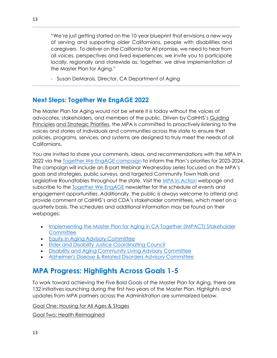"We're just getting started on the 10-year blueprint that envisions a new way of serving and supporting older Californians, people with disabilities and caregivers. To deliver on the California for All promise, we need to hear from all voices, perspectives and lived experiences; we invite you to participate locally, regionally and statewide as, together, we drive implementation of the Master Plan for Aging."

- Susan DeMarois, Director, CA Department of Aging

# <span id="page-12-0"></span>**Next Steps: Together We EngAGE 2022**

The Master Plan for Aging would not be where it is today without the voices of advocates, stakeholders, and members of the public. Driven by CalHHS's [Guiding](https://www.chhs.ca.gov/guiding-principles-strategic-priorities/#actively-listen)  [Principles](https://www.chhs.ca.gov/guiding-principles-strategic-priorities/#actively-listen) [and Strategic Priorities,](https://www.chhs.ca.gov/guiding-principles-strategic-priorities/) the MPA is committed to proactively listening to the voices and stories of individuals and communities across the state to ensure that policies, programs, services, and systems are designed to truly meet the needs of all Californians.

You are invited to share your comments, ideas, and recommendations with the MPA in 2022 via the [Together We EngAGE campaign](https://www.engageca.org/) to inform the Plan's priorities for 2023-2024. The campaign will include an 8-part Webinar Wednesday series focused on the MPA's goals and strategies, public surveys, and targeted Community Town Halls and Legislative Roundtables throughout the state. Visit the [MPA In Action](https://mpa.aging.ca.gov/NewsAndEvents/Index) webpage and subscribe to the [Together We EngAGE](https://aging.us4.list-manage.com/subscribe?id=173d0260aa&u=885fd0fb81501c74e82ac45b1) newsletter for the schedule of events and engagement opportunities. Additionally, the public is always welcome to attend and provide comment at CalHHS's and CDA's stakeholder committees, which meet on a quarterly basis. The schedules and additional information may be found on their webpages:

- [Implementing the Master Plan for Aging in CA Together \(IMPACT\) Stakeholder](https://www.chhs.ca.gov/home/master-plan-for-aging/#impact-stakeholder-committee-meeting-information)  **[Committee](https://www.chhs.ca.gov/home/master-plan-for-aging/#impact-stakeholder-committee-meeting-information)**
- [Equity in Aging Advisory Committee](https://aging.ca.gov/equity_in_aging_resource_center/#implementation-meetings)
- [Elder and Disability Justice Coordinating Council](https://www.chhs.ca.gov/home/committees/elder-and-disability-justice-coordinating-council/)
- [Disability and Aging Community Living Advisory Committee](https://www.chhs.ca.gov/home/committees/disability-and-aging-community-living-advisory-committee/)
- [Alzheimer's Disease & Related Disorders Advisory Committee](https://www.chhs.ca.gov/home/committees/alzheimers-disease-and-related-disorders-advisory-committee/)

# <span id="page-12-1"></span>**MPA Progress: Highlights Across Goals 1-5**

To work toward achieving the Five Bold Goals of the Master Plan for Aging, there are 132 initiatives launching during the first two years of the Master Plan. Highlights and updates from MPA partners across the Administration are summarized below.

[Goal One: Housing for All Ages & Stages](#page-13-0)

[Goal Two: Health Reimagined](#page-20-0)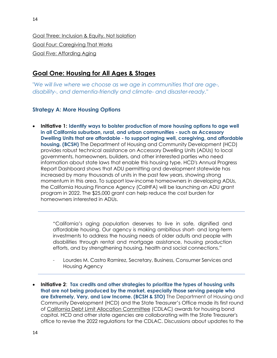[Goal Three: Inclusion & Equity, Not Isolation](#page-27-0) [Goal Four: Caregiving That Works](#page-36-0) [Goal Five: Affording Aging](#page-38-0)

# <span id="page-13-0"></span>**Goal One: Housing for All Ages & Stages**

*"We will live where we choose as we age in communities that are age-, disability-, and dementia-friendly and climate- and disaster-ready."*

## **Strategy A: More Housing Options**

• **Initiative 1: Identify ways to bolster production of more housing options to age well in all California suburban, rural, and urban communities - such as Accessory Dwelling Units that are affordable - to support aging well, caregiving, and affordable housing. (BCSH)** The Department of Housing and Community Development (HCD) provides robust technical assistance on Accessory Dwelling Units (ADUs) to local governments, homeowners, builders, and other interested parties who need information about state laws that enable this housing type. HCD's Annual Progress Report Dashboard shows that ADU permitting and development statewide has increased by many thousands of units in the past few years, showing strong momentum in this area. To support low-income homeowners in developing ADUs, the California Housing Finance Agency (CalHFA) will be launching an ADU grant program in 2022. The \$25,000 grant can help reduce the cost burden for homeowners interested in ADUs.

"California's aging population deserves to live in safe, dignified and affordable housing. Our agency is making ambitious short- and long-term investments to address the housing needs of older adults and people with disabilities through rental and mortgage assistance, housing production efforts, and by strengthening housing, health and social connections."

- Lourdes M. Castro Ramirez, Secretary, Business, Consumer Services and Housing Agency
- **Initiative 2**: **Tax credits and other strategies to prioritize the types of housing units that are not being produced by the market, especially those serving people who are Extremely, Very, and Low Income. (BCSH & STO)** The Department of Housing and Community Development (HCD) and the State Treasurer's Office made its first round of [California Debt Limit Allocation Committee](https://www.treasurer.ca.gov/cdlac/) (CDLAC) awards for housing bond capital. HCD and other state agencies are collaborating with the State Treasurer's office to revise the 2022 regulations for the CDLAC. Discussions about updates to the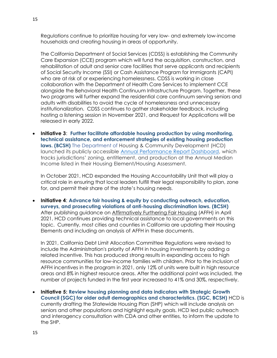Regulations continue to prioritize housing for very low- and extremely low-income households and creating housing in areas of opportunity.

The California Department of Social Services (CDSS) is establishing the Community Care Expansion (CCE) program which will fund the acquisition, construction, and rehabilitation of adult and senior care facilities that serve applicants and recipients of Social Security Income (SSI) or Cash Assistance Program for Immigrants (CAPI) who are at risk of or experiencing homelessness. CDSS is working in close collaboration with the Department of Health Care Services to implement CCE alongside the Behavioral Health Continuum Infrastructure Program. Together, these two programs will further expand the residential care continuum serving seniors and adults with disabilities to avoid the cycle of homelessness and unnecessary institutionalization. CDSS continues to gather stakeholder feedback, including hosting a listening session in November 2021, and Request for Applications will be released in early 2022.

• **Initiative 3**: **Further facilitate affordable housing production by using monitoring, technical assistance, and enforcement strategies of existing housing production laws. (BCSH)** The Department of Housing & Community Development (HCD) launched its publicly accessible **Annual Performance Report Dashboard**, which tracks jurisdictions' zoning, entitlement, and production at the Annual Median Income listed in their Housing Element/Housing Assessment.

In October 2021, HCD expanded the Housing Accountability Unit that will play a critical role in ensuring that local leaders fulfill their legal responsibility to plan, zone for, and permit their share of the state's housing needs.

• **Initiative 4**: **Advance fair housing & equity by conducting outreach, education, surveys, and prosecuting violations of anti-housing discrimination laws. (BCSH)** After publishing guidance on [Affirmatively Furthering Fair Housing](https://www.hcd.ca.gov/community-development/affh/index.shtml) (AFFH) in April 2021, HCD continues providing technical assistance to local governments on this topic. Currently, most cities and counties in California are updating their Housing Elements and including an analysis of AFFH in these documents.

In 2021, California Debt Limit Allocation Committee Regulations were revised to include the Administration's priority of AFFH in housing investments by adding a related incentive. This has produced strong results in expanding access to high resource communities for low-income families with children. Prior to the inclusion of AFFH incentives in the program in 2021, only 12% of units were built in high resource areas and 8% in highest resource areas. After the additional point was included, the number of projects funded in the first year increased to 41% and 30%, respectively.

• **Initiative 5: Review housing planning and data indicators with Strategic Growth Council (SGC) for older adult demographics and characteristics. (SGC, BCSH)** HCD is currently drafting the Statewide Housing Plan (SHP) which will include analysis on seniors and other populations and highlight equity goals. HCD led public outreach and interagency consultation with CDA and other entities, to inform the update to the SHP.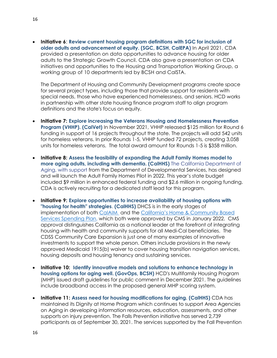• **Initiative 6**: **Review current housing program definitions with SGC for inclusion of older adults and advancement of equity. (SGC, BCSH, CalEPA)** In April 2021, CDA provided a presentation on data opportunities to advance housing for older adults to the Strategic Growth Council. CDA also gave a presentation on CDA initiatives and opportunities to the Housing and Transportation Working Group, a working group of 10 departments led by BCSH and CalSTA.

The Department of Housing and Community Development programs create space for several project types, including those that provide support for residents with special needs, those who have experienced homelessness, and seniors. HCD works in partnership with other state housing finance program staff to align program definitions and the state's focus on equity.

- **Initiative 7: Explore increasing the Veterans Housing and Homelessness Prevention Program (VHHP). (CalVet)** In November 2021, VHHP released \$125 million for Round 6 funding in support of 16 projects throughout the state. The projects will add 542 units for homeless veterans. In prior Rounds 1-5, VHHP funded 72 projects, creating 3,058 units for homeless veterans. The total award amount for Rounds 1-5 is \$358 million.
- **Initiative 8: Assess the feasibility of expanding the Adult Family Homes model to more aging adults, including with dementia. (CalHHS)** The California Department of Aging, with support from the Department of Developmental Services, has designed and will launch the Adult Family Homes Pilot in 2022. This year's state budget included \$9 million in enhanced federal funding and \$2.6 million in ongoing funding. CDA is actively recruiting for a dedicated staff lead for this program.
- **Initiative 9: Explore opportunities to increase availability of housing options with "housing for health" strategies**. **(CalHHS)** DHCS is in the early stages of implementation of both [CalAIM](https://www.dhcs.ca.gov/CalAIM/Pages/calaim.aspx) and the [California's Home & Community Based](https://www.dhcs.ca.gov/Documents/DHCS-HCBS-Spending-Plan-Web-Package-7-12-21.pdf)  [Services Spending Plan,](https://www.dhcs.ca.gov/Documents/DHCS-HCBS-Spending-Plan-Web-Package-7-12-21.pdf) which both were approved by CMS in January 2022. CMS approval distinguishes California as a national leader at the forefront of integrating housing with health and community supports for all Medi-Cal beneficiaries. The CDSS Community Care Expansion is just one of many examples of innovative investments to support the whole person. Others include provisions in the newly approved Medicaid 1915(b) waiver to cover housing transition navigation services, housing deposits and housing tenancy and sustaining services.
- **Initiative 10: Identify innovative models and solutions to enhance technology in housing options for aging well. (GovOps, BCSH)** HCD's Multifamily Housing Program (MHP) issued draft guidelines for public comment in December 2021. The guidelines include broadband access in the proposed general MHP scoring system.
- **Initiative 11: Assess need for housing modifications for aging. (CalHHS)** CDA has maintained its Dignity at Home Program which continues to support Area Agencies on Aging in developing information resources, education, assessments, and other supports on injury prevention. The Falls Prevention initiative has served 2,739 participants as of September 30, 2021. The services supported by the Fall Prevention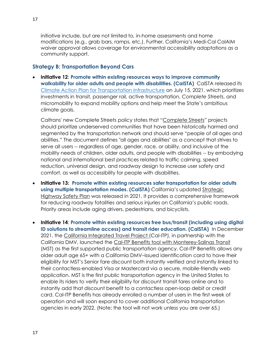initiative include, but are not limited to, in-home assessments and home modifications (e.g., grab bars, ramps, etc.). Further, California's Medi-Cal CalAIM waiver approval allows coverage for environmental accessibility adaptations as a community support.

#### **Strategy B: Transportation Beyond Cars**

• **Initiative 12**: **Promote within existing resources ways to improve community walkability for older adults and people with disabilities. (CalSTA)** CalSTA released its [Climate Action Plan for Transportation Infrastructure](https://calsta.ca.gov/subject-areas/climate-action-plan#:~:text=On%20March%2010%2C%202021%2C%20the,for%20Transportation%20Infrastructure%20(CAPTI).&text=CalSTA%20expects%20to%20adopt%20a,later%20than%20July%2015%2C%202021.) on July 15, 2021, which prioritizes investments in transit, passenger rail, active transportation, *Complete Streets*, and micromobility to expand mobility options and help meet the State's ambitious climate goals.

Caltrans' new Complete Streets policy states that "[Complete Streets](https://dot.ca.gov/news-releases/news-release-2021-039)" projects should prioritize underserved communities that have been historically harmed and segmented by the transportation network and should serve "people of all ages and abilities." The document defines "all ages and abilities" as a concept that strives to serve all users -- regardless of age, gender, race, or ability, and inclusive of the mobility needs of children, older adults, and people with disabilities -- by embodying national and international best practices related to traffic calming, speed reduction, universal design, and roadway design to increase user safety and comfort, as well as accessibility for people with disabilities.

- **Initiative 13: Promote within existing resources safer transportation for older adults using multiple transportation modes. (CalSTA)** California's updated [Strategic](https://dot.ca.gov/programs/safety-programs/shsp)  [Highway Safety Plan](https://dot.ca.gov/programs/safety-programs/shsp) was released in 2021. It provides a comprehensive framework for reducing roadway fatalities and serious injuries on California's public roads. Priority areas include aging drivers, pedestrians, and bicyclists.
- **Initiative 14**: **Promote within existing resources free bus/transit (including using digital ID solutions to streamline access) and transit rider education. (CalSTA)** In December 2021, the [California Integrated Travel Project](https://www.calitp.org/) (Cal-ITP), in partnership with the California DMV, launched the [Cal-ITP Benefits tool with Monterey-Salinas Transit](https://mst.org/fares/contactless-payment/benefits/) (MST) as the first supported public transportation agency. Cal-ITP Benefits allows any older adult age 65+ with a California DMV–issued identification card to have their eligibility for MST's Senior fare discount both instantly verified and instantly linked to their contactless-enabled Visa or Mastercard via a secure, mobile-friendly web application. MST is the first public transportation agency in the United States to enable its riders to verify their eligibility for discount transit fares online and to instantly add that discount benefit to a contactless open-loop debit or credit card. Cal-ITP Benefits has already enrolled a number of users in the first week of operation and will soon expand to cover additional California transportation agencies in early 2022. (Note: the tool will not work unless you are over 65.)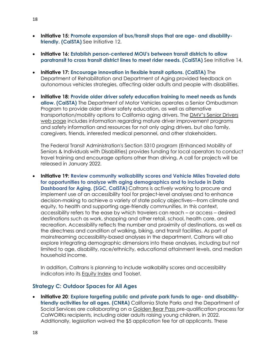- **Initiative 15: Promote expansion of bus/transit stops that are age- and disabilityfriendly. (CalSTA)** See Initiative 12.
- **Initiative 16: Establish person-centered MOU's between transit districts to allow paratransit to cross transit district lines to meet rider needs. (CalSTA)** See Initiative 14.
- **Initiative 17: Encourage innovation in flexible transit options. (CalSTA)** The Department of Rehabilitation and Department of Aging provided feedback on autonomous vehicles strategies, affecting older adults and people with disabilities.
- **Initiative 18: Provide older driver safety education training to meet needs as funds allow. (CalSTA)** The Department of Motor Vehicles operates a Senior Ombudsman Program to provide older driver safety education, as well as alternative transportation/mobility options to California aging drivers. The [DMV's Senior Drivers](https://www.dmv.ca.gov/portal/driver-education-and-safety/special-interest-driver-guides/senior-drivers/)  [web page](https://www.dmv.ca.gov/portal/driver-education-and-safety/special-interest-driver-guides/senior-drivers/) includes information regarding mature driver improvement programs and safety information and resources for not only aging drivers, but also family, caregivers, friends, interested medical personnel, and other stakeholders.

The Federal Transit Administration's Section 5310 program (Enhanced Mobility of Seniors & Individuals with Disabilities) provides funding for local operators to conduct travel training and encourage options other than driving. A call for projects will be released in January 2022.

• **Initiative 19: Review community walkability scores and Vehicle Miles Traveled data for opportunities to analyze with aging demographics and to include in Data Dashboard for Aging. (SGC, CalSTA)** Caltrans is actively working to procure and implement use of an accessibility tool for project-level analyses and to enhance decision-making to achieve a variety of state policy objectives—from climate and equity, to health and supporting age-friendly communities. In this context, accessibility refers to the ease by which travelers can reach – or access – desired destinations such as work, shopping and other retail, school, health care, and recreation. Accessibility reflects the number and proximity of destinations, as well as the directness and condition of walking, biking, and transit facilities. As part of mainstreaming accessibility-based analyses in the department, Caltrans will also explore integrating demographic dimensions into these analyses, including but not limited to age, disability, race/ethnicity, educational attainment levels, and median household income.

In addition, Caltrans is planning to include walkability scores and accessibility indicators into its [Equity Index](https://catc.ca.gov/-/media/ctc-media/documents/ctc-meetings/2021/2021-10/equity-roundtable/tab-7-pres-a11y.pdf) and Toolset.

#### **Strategy C: Outdoor Spaces for All Ages**

• **Initiative 20**: **Explore targeting public and private park funds to age- and disabilityfriendly activities for all ages. (CNRA)** California State Parks and the Department of Social Services are collaborating on a [Golden Bear Pass](https://www.parks.ca.gov/?page_id=30277) pre-qualification process for CalWORKs recipients, including older adults raising young children, in 2022. Additionally, legislation waived the \$5 application fee for all applicants. These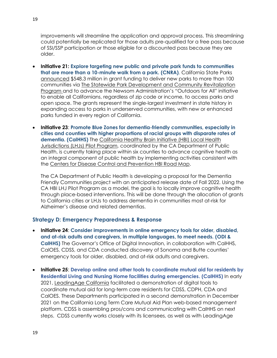improvements will streamline the application and approval process. This streamlining could potentially be replicated for those adults pre-qualified for a free pass because of SSI/SSP participation or those eligible for a discounted pass because they are older.

- **Initiative 21: Explore targeting new public and private park funds to communities that are more than a 10-minute walk from a park. (CNRA)**. California State Parks [announced](https://www.parks.ca.gov/NewsRelease/1053) \$548.3 million in grant funding to deliver new parks to more than 100 communities via [The Statewide Park Development and Community Revitalization](https://www.parks.ca.gov/?page_id=29939)  [Program](https://www.parks.ca.gov/?page_id=29939) and to advance the Newsom Administration's "Outdoors for All" initiative to enable all Californians, regardless of zip code or income, to access parks and open space. The grants represent the single-largest investment in state history in expanding access to parks in underserved communities, with new or enhanced parks funded in every region of California.
- **Initiative 23**: **Promote Blue Zones for dementia-friendly communities, especially in cities and counties with higher proportions of racial groups with disparate rates of dementia. (CalHHS)** The [California Healthy Brain Initiative](https://www.cdph.ca.gov/Programs/CCDPHP/DCDIC/CDCB/Pages/CA-Healthy-Brain-Initiative-RFA.aspx) (HBI) Local Health [Jurisdictions \(LHJs\) Pilot Program,](https://www.cdph.ca.gov/Programs/CCDPHP/DCDIC/CDCB/Pages/CA-Healthy-Brain-Initiative-RFA.aspx) coordinated by the CA Department of Public Health, is currently taking place within six counties to advance cognitive health as an integral component of public health by implementing activities consistent with the [Centers for Disease Control and Prevention HBI Road Map.](https://www.cdc.gov/aging/pdf/2018-2023-Road-Map-508.pdf)

The CA Department of Public Health is developing a proposal for the Dementia Friendly Communities project with an anticipated release date of Fall 2022. Using the CA HBI LHJ Pilot Program as a model, the goal is to locally improve cognitive health through place-based interventions. This will be done through the allocation of grants to California cities or LHJs to address dementia in communities most at-risk for Alzheimer's disease and related dementias.

#### **Strategy D: Emergency Preparedness & Response**

- **Initiative 24**: **Consider improvements in online emergency tools for older, disabled, and at-risk adults and caregivers, in multiple languages, to meet needs. (ODI & CalHHS)** The Governor's Office of Digital Innovation, in collaboration with CalHHS, CalOES, CDSS, and CDA conducted discovery of Sonoma and Butte counties' emergency tools for older, disabled, and at-risk adults and caregivers.
- **Initiative 25**: **Develop online and other tools to coordinate mutual aid for residents by Residential Living and Nursing Home facilities during emergencies. (CalHHS)** In early 2021, [LeadingAge California](https://www.leadingageca.org/) facilitated a demonstration of digital tools to coordinate mutual aid for long-term care residents for CDSS, CDPH, CDA and CalOES. These Departments participated in a second demonstration in December 2021 on the California Long Term Care Mutual Aid Plan web-based management platform. CDSS is assembling pros/cons and communicating with CalHHS on next steps. CDSS currently works closely with its licensees, as well as with LeadingAge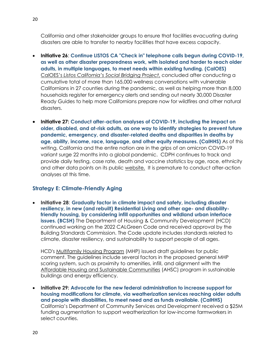California and other stakeholder groups to ensure that facilities evacuating during disasters are able to transfer to nearby facilities that have excess capacity.

- **Initiative 26**: **Continue LISTOS CA "Check in" telephone calls begun during COVID-19, as well as other disaster preparedness work, with isolated and harder to reach older adults, in multiple languages, to meet needs within existing funding. (CalOES)** CalOES's *[Listos](https://www.listoscalifornia.org/community-projects/social-bridging-project/) California's Social Bridging Project*, concluded after conducting a cumulative total of more than 165,000 wellness conversations with vulnerable Californians in 27 counties during the pandemic, as well as helping more than 8,000 households register for emergency alerts and sending out nearly 30,000 Disaster Ready Guides to help more Californians prepare now for wildfires and other natural disasters.
- **Initiative 27: Conduct after-action analyses of COVID-19, including the impact on older, disabled, and at-risk adults, as one way to identify strategies to prevent future pandemic, emergency, and disaster-related deaths and disparities in deaths by age, ability, income, race, language, and other equity measures. (CalHHS)** As of this writing, California and the entire nation are in the grips of an omicron COVID-19 variant surge 22 months into a global pandemic. CDPH continues to track and provide daily testing, case rate, death and vaccine statistics by age, race, ethnicity and other data points on its public [website.](http://www.covid19.ca.gov/) It is premature to conduct after-action analyses at this time.

### **Strategy E: Climate-Friendly Aging**

• **Initiative 28**: **Gradually factor in climate impact and safety, including disaster resiliency, in new (and rebuilt) Residential Living and other age- and disabilityfriendly housing, by considering infill opportunities and wildland urban interface issues. (BCSH)** The Department of Housing & Community Development (HCD) continued working on the 2022 CALGreen Code and received approval by the Building Standards Commission. The Code update includes standards related to climate, disaster resiliency, and sustainability to support people of all ages.

HCD's [Multifamily Housing Program](https://www.hcd.ca.gov/grants-funding/active-funding/mhp.shtml) (MHP) issued draft guidelines for public comment. The guidelines include several factors in the proposed general MHP scoring system, such as proximity to amenities, infill, and alignment with the [Affordable Housing and Sustainable Communities](https://sgc.ca.gov/programs/ahsc/) (AHSC) program in sustainable buildings and energy efficiency.

• **Initiative 29: Advocate for the new federal administration to increase support for housing modifications for climate, via weatherization services reaching older adults and people with disabilities, to meet need and as funds available. (CalHHS)**  California's Department of Community Services and Development received a \$25M funding augmentation to support weatherization for low-income farmworkers in select counties.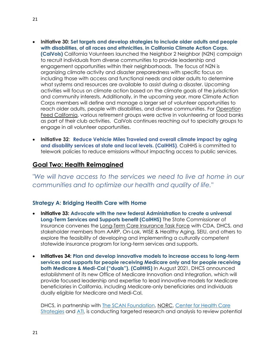- **Initiative 30: Set targets and develop strategies to include older adults and people with disabilities, of all races and ethnicities, in California Climate Action Corps. (CalVols)** California Volunteers launched the Neighbor 2 Neighbor (N2N) campaign to recruit individuals from diverse communities to provide leadership and engagement opportunities within their neighborhoods. The focus of N2N is organizing climate activity and disaster preparedness with specific focus on including those with access and functional needs and older adults to determine what systems and resources are available to assist during a disaster. Upcoming activities will focus on climate action based on the climate goals of the jurisdiction and community interests. Additionally, in the upcoming year, more Climate Action Corps members will define and manage a larger set of volunteer opportunities to reach older adults, people with disabilities, and diverse communities. For [Operation](https://www.californiavolunteers.ca.gov/operationfeedca/)  [Feed California,](https://www.californiavolunteers.ca.gov/operationfeedca/) various retirement groups were active in volunteering at food banks as part of their club activities. CalVols continues reaching out to specialty groups to engage in all volunteer opportunities.
- **Initiative 32**: **Reduce Vehicle Miles Traveled and overall climate impact by aging and disability services at state and local levels. (CalHHS)**. CalHHS is committed to telework policies to reduce emissions without impacting access to public services.

## <span id="page-20-0"></span>**Goal Two: Health Reimagined**

*"We will have access to the services we need to live at home in our communities and to optimize our health and quality of life."*

#### **Strategy A: Bridging Health Care with Home**

- **Initiative 33: Advocate with the new federal Administration to create a universal Long-Term Services and Supports benefit (CalHHS)** The State Commissioner of Insurance convenes the [Long-Term Care Insurance Task Force](http://www.insurance.ca.gov/0500-about-us/03-appointments/ltcitf.cfm) with CDA, DHCS, and stakeholder members from AARP, On-Lok, WISE & Healthy Aging, SEIU, and others to explore the feasibility of developing and implementing a culturally competent statewide insurance program for long-term services and supports.
- **Initiatives 34: Plan and develop innovative models to increase access to long-term services and supports for people receiving Medicare only and for people receiving both Medicare & Medi-Cal ("duals"). (CalHHS)** In August 2021, DHCS announced establishment of its new Office of Medicare Innovation and Integration, which will provide focused leadership and expertise to lead innovative models for Medicare beneficiaries in California, including Medicare-only beneficiaries and individuals dually eligible for Medicare and Medi-Cal.

DHCS, in partnership with [The SCAN Foundation,](https://www.thescanfoundation.org/) [NORC,](https://www.norc.org/Pages/default.aspx) Center for Health Care [Strategies](https://www.chcs.org/) and [ATI,](https://atiadvisory.com/) is conducting targeted research and analysis to review potential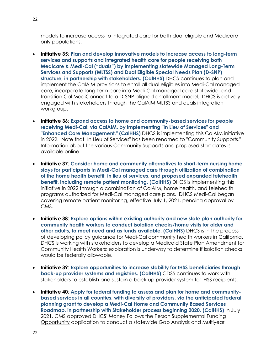models to increase access to integrated care for both dual eligible and Medicareonly populations.

- **Initiative 35**: **Plan and develop innovative models to increase access to long-term services and supports and integrated health care for people receiving both Medicare & Medi-Cal ("duals") by implementing statewide Managed Long-Term Services and Supports (MLTSS) and Dual Eligible Special Needs Plan (D-SNP) structure, in partnership with stakeholders. (CalHHS)** DHCS continues to plan and implement the CalAIM provisions to enroll all dual eligibles into Medi-Cal managed care, incorporate long-term care into Medi-Cal managed care statewide, and transition Cal MediConnect to a D-SNP aligned enrollment model. DHCS is actively engaged with stakeholders through the CalAIM MLTSS and duals integration workgroup.
- **Initiative 36**: **Expand access to home and community-based services for people receiving Medi-Cal: via CalAIM, by implementing "In Lieu of Services" and "Enhanced Care Management." (CalHHS)** DHCS is implementing this CalAIM initiative in 2022. Note that "In Lieu of Services" has been renamed to "Community Supports." Information about the various Community Supports and proposed start dates is [available online.](https://www.dhcs.ca.gov/Documents/MCQMD/Community-Supports-Elections-by-MCP-and-County.pdf)
- **Initiative 37**: **Consider home and community alternatives to short-term nursing home stays for participants in Medi-Cal managed care through utilization of combination of the home health benefit, in lieu of services, and proposed expanded telehealth benefit, including remote patient monitoring. (CalHHS)** DHCS is implementing this initiative in 2022 through a combination of CalAIM, home health, and telehealth programs authorized for Medi-Cal managed care plans. DHCS Medi-Cal began covering remote patient monitoring, effective July 1, 2021, pending approval by CMS.
- **Initiative 38**: **Explore options within existing authority and new state plan authority for community health workers to conduct isolation checks/home visits for older and other adults, to meet need and as funds available. (CalHHS)** DHCS is in the process of developing policy guidance for Medi-Cal community health workers in California. DHCS is working with stakeholders to develop a Medicaid State Plan Amendment for Community Health Workers; exploration is underway to determine if isolation checks would be federally allowable.
- **Initiative 39**: **Explore opportunities to increase stability for IHSS beneficiaries through back-up provider systems and registries. (CalHHS)** CDSS continues to work with stakeholders to establish and sustain a back-up provider system for IHSS recipients.
- **Initiative 40**: **Apply for federal funding to assess and plan for home and communitybased services in all counties, with diversity of providers, via the anticipated federal planning grant to develop a Medi-Cal Home and Community Based Services Roadmap, in partnership with Stakeholder process beginning 2020. (CalHHS)** In July 2021, CMS approved DHCS' [Money Follows the Person Supplemental Funding](https://www.dhcs.ca.gov/services/ltc/Pages/-MFP-Supplemental-Funding-Opportunity.aspx)  [Opportunity](https://www.dhcs.ca.gov/services/ltc/Pages/-MFP-Supplemental-Funding-Opportunity.aspx) application to conduct a statewide Gap Analysis and Multiyear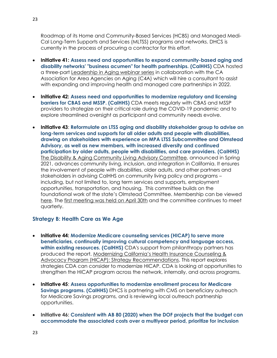Roadmap of its Home and Community-Based Services (HCBS) and Managed Medi-Cal Long-Term Supports and Services (MLTSS) programs and networks. DHCS is currently in the process of procuring a contractor for this effort.

- **Initiative 41: Assess need and opportunities to expand community-based aging and disability networks' "business acumen" for health partnerships. (CalHHS)** CDA hosted a three-part [Leadership in Aging webinar series](https://aging.ca.gov/Statewide_Aging_Hubs_Initiative/) in collaboration with the CA Association for Area Agencies on Aging (C4A) which will hire a consultant to assist with expanding and improving health and managed care partnerships in 2022.
- **Initiative 42: Assess need and opportunities to modernize regulatory and licensing barriers for CBAS and MSSP. (CalHHS)** CDA meets regularly with CBAS and MSSP providers to strategize on their critical role during the COVID-19 pandemic and to explore streamlined oversight as participant and community needs evolve.
- **Initiative 43**: **Reformulate an LTSS aging and disability stakeholder group to advise on long-term services and supports for all older adults and people with disabilities, drawing on stakeholders with experience on MPA LTSS Subcommittee and Olmstead Advisory, as well as new members, with increased diversity and continued participation by older adults, people with disabilities, and care providers. (CalHHS)** The [Disability & Aging Community Living Advisory Committee,](https://www.chhs.ca.gov/home/committees/disability-and-aging-community-living-advisory-committee/) announced in Spring 2021, advances community living, inclusion, and integration in California. It ensures the involvement of people with disabilities, older adults, and other partners and stakeholders in advising CalHHS on community living policy and programs – including, but not limited to, long term services and supports, employment opportunities, transportation, and housing. This committee builds on the foundational work of the state's Olmstead Committee. Membership can be viewed [here.](https://chhs-data-prod.s3.us-west-2.amazonaws.com/uploads/2021/04/29131259/Disability-and-Aging-Community-Living-Advisory-Committee-Member-List-April-2021.pdf) The [first meeting](https://www.chhs.ca.gov/home/committees/disability-and-aging-community-living-advisory-committee/#april-30-2021) was held on April 30th and the committee continues to meet quarterly.

#### **Strategy B: Health Care as We Age**

- **Initiative 44: Modernize Medicare counseling services (HICAP) to serve more beneficiaries, continually improving cultural competency and language access, within existing resources. (CalHHS)** CDA's support from philanthropy partners has produced the report, [Modernizing California's Health Insurance Counseling &](https://atiadvisory.com/modernizing-californias-hicap-strategy-recommendations/)  [Advocacy Program \(HICAP\): Strategy Recommendations.](https://atiadvisory.com/modernizing-californias-hicap-strategy-recommendations/) This report explores strategies CDA can consider to modernize HICAP. CDA is looking at opportunities to strengthen the HICAP program across the network, internally, and across programs.
- **Initiative 45**: **Assess opportunities to modernize enrollment process for Medicare Savings programs. (CalHHS)** DHCS is partnering with CMS on beneficiary outreach for Medicare Savings programs, and is reviewing local outreach partnership opportunities.
- **Initiative 46: Consistent with AB 80 (2020) when the DOF projects that the budget can accommodate the associated costs over a multiyear period, prioritize for inclusion**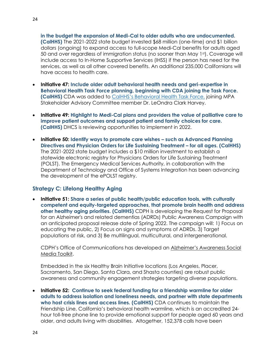**in the budget the expansion of Medi-Cal to older adults who are undocumented. (CalHHS)** The 2021-2022 state budget invested \$68 million (one-time) and \$1 billion dollars (ongoing) to expand access to full-scope Medi-Cal benefits for adults aged 50 and over regardless of immigration status (no sooner than May 1st). Coverage will include access to In-Home Supportive Services (IHSS) if the person has need for the services, as well as all other covered benefits. An additional 235,000 Californians will have access to health care.

- **Initiative 47: Include older adult behavioral health needs and geri-expertise in Behavioral Health Task Force planning, beginning with CDA joining the Task Force. (CalHHS)** CDA was added to CalHHS's Behavioral Health Task Force, joining MPA Stakeholder Advisory Committee member Dr. LeOndra Clark Harvey.
- **Initiative 49: Highlight to Medi-Cal plans and providers the value of palliative care to improve patient outcomes and support patient and family choices for care. (CalHHS)** DHCS is reviewing opportunities to implement in 2022.
- **Initiative 50: Identify ways to promote care wishes – such as Advanced Planning Directives and Physician Orders for Life Sustaining Treatment – for all ages. (CalHHS)** The 2021-2022 state budget includes a \$10 million investment to establish a statewide electronic registry for Physicians Orders for Life Sustaining Treatment (POLST). The Emergency Medical Services Authority, in collaboration with the Department of Technology and Office of Systems Integration has been advancing the development of the ePOLST registry.

#### **Strategy C: Lifelong Healthy Aging**

• **Initiative 51: Share a series of public health/public education tools, with culturally competent and equity-targeted approaches, that promote brain health and address other healthy aging priorities. (CalHHS)** CDPH is developing the Request for Proposal for an Alzheimer's and related dementias (ADRDs) Public Awareness Campaign with an anticipated proposal release date of Spring 2022. The campaign will: 1) Focus on educating the public, 2) Focus on signs and symptoms of ADRDs. 3) Target populations at risk, and 3) Be multilingual, multicultural, and intergenerational.

CDPH's Office of Communications has developed an [Alzheimer's Awareness](https://www.cdph.ca.gov/Programs/OPA/CDPH%20Document%20Library/Toolkits/alz_messaging_toolkit.pdf) Social [Media Toolkit.](https://www.cdph.ca.gov/Programs/OPA/CDPH%20Document%20Library/Toolkits/alz_messaging_toolkit.pdf)

Embedded in the six Healthy Brain Initiative locations (Los Angeles, Placer, Sacramento, San Diego, Santa Clara, and Shasta counties) are robust public awareness and community engagement strategies targeting diverse populations.

• **Initiative 52: Continue to seek federal funding for a friendship warmline for older adults to address isolation and loneliness needs, and partner with state departments who host crisis lines and access lines. (CalHHS)** CDA continues to maintain the Friendship Line, California's behavioral health warmline, which is an accredited 24 hour toll-free phone line to provide emotional support for people aged 60 years and older, and adults living with disabilities. Altogether, 152,378 calls have been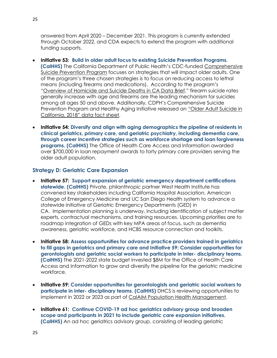answered from April 2020 – December 2021. This program is currently extended through October 2022, and CDA expects to extend the program with additional funding supports.

- **Initiative 53: Build in older adult focus to existing Suicide Prevention Programs. (CalHHS)** The California Department of Public Health's CDC-funded [Comprehensive](https://www.cdph.ca.gov/Programs/CCDPHP/DCDIC/SACB/Pages/SuicidePreventionProgram.aspx)  [Suicide Prevention Program](https://www.cdph.ca.gov/Programs/CCDPHP/DCDIC/SACB/Pages/SuicidePreventionProgram.aspx) focuses on strategies that will impact older adults. One of the program's three chosen strategies is to focus on reducing access to lethal means (including firearms and medications). According to the program's "[Overview of Homicide and Suicide Deaths in CA Data Brief](https://www.cdph.ca.gov/Programs/CCDPHP/DCDIC/SACB/Pages/Healthy%20Aging%20Initiative/HealthyAgingDataandEducationalMaterials.aspx)," firearm suicide rates generally increase with age and firearms are the leading mechanism for suicides among all ages 50 and above. Additionally, CDPH's Comprehensive Suicide Prevention Program and Healthy Aging Initiative released an "Older Adult Suicide in [California, 2018" data fact sheet](https://www.cdph.ca.gov/Programs/CCDPHP/DCDIC/SACB/Pages/Healthy%20Aging%20Initiative/HealthyAgingDataandEducationalMaterials.aspx).
- **Initiative 54: Diversify and align with aging demographics the pipeline of residents in clinical geriatrics, primary care, and geriatric psychiatry, including dementia care, through career incentive strategies such as workforce shortage and loan forgiveness programs. (CalHHS)** The Office of Health Care Access and Information awarded over \$700,000 in loan repayment awards to forty primary care providers serving the older adult population.

### **Strategy D: Geriatric Care Expansion**

- **Initiative 57: Support expansion of geriatric emergency department certifications statewide. (CalHHS)** Private, philanthropic partner West Health Institute has convened key stakeholders including California Hospital Association, American College of Emergency Medicine and UC San Diego Health system to advance a statewide initiative of Geriatric Emergency Departments (GED) in CA. Implementation planning is underway, including identification of subject matter experts, contractual mechanisms, and training resources. Upcoming priorities are to roadmap integration of GEDs with key MPA areas of focus, such as dementia awareness, geriatric workforce, and HCBS resource connection and toolkits.
- **Initiative 58: Assess opportunities for advance practice providers trained in geriatrics to fill gaps in geriatrics and primary care and Initiative 59: Consider opportunities for gerontologists and geriatric social workers to participate in inter- disciplinary teams. (CalHHS)** The 2021-2022 state budget invested \$8M for the Office of Health Care Access and Information to grow and diversify the pipeline for the geriatric medicine workforce.
- **Initiative 59: Consider opportunities for gerontologists and geriatric social workers to participate in inter- disciplinary teams. (CalHHS)** DHCS is reviewing opportunities to implement in 2022 or 2023 as part of [CalAIM Population Health Management.](https://www.dhcs.ca.gov/provgovpart/Pages/phm_planenrollment.aspx)
- **Initiative 61: Continue COVID-19 ad hoc geriatrics advisory group and broaden scope and participants in 2021 to include geriatric care expansion initiatives. (CalHHS)** An ad hoc geriatrics advisory group, consisting of leading geriatric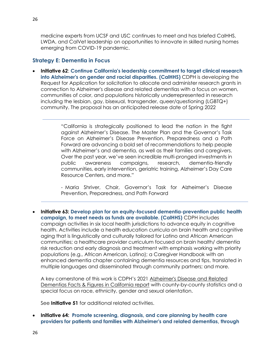medicine experts from UCSF and USC continues to meet and has briefed CalHHS, LWDA, and CalVet leadership on opportunities to innovate in skilled nursing homes emerging from COVID-19 pandemic.

#### **Strategy E: Dementia in Focus**

• **Initiative 62**: **Continue California's leadership commitment to target clinical research into Alzheimer's on gender and racial disparities. (CalHHS)** CDPH is developing the Request for Application for solicitation to allocate and administer research grants in connection to Alzheimer's disease and related dementias with a focus on women, communities of color, and populations historically underrepresented in research including the lesbian, gay, bisexual, transgender, queer/questioning (LGBTQ+) community. The proposal has an anticipated release date of Spring 2022

> "California is strategically positioned to lead the nation in the fight against Alzheimer's Disease. The Master Plan and the Governor's Task Force on Alzheimer's Disease Prevention, Preparedness and a Path Forward are advancing a bold set of recommendations to help people with Alzheimer's and dementia, as well as their families and caregivers. Over the past year, we've seen incredible multi-pronged investments in public awareness campaigns, research, dementia-friendly communities, early intervention, geriatric training, Alzheimer's Day Care Resource Centers, and more."

> - Maria Shriver, Chair, Governor's Task for Alzheimer's Disease Prevention, Preparedness, and Path Forward

• **Initiative 63: Develop plan for an equity-focused dementia-prevention public health campaign, to meet needs as funds are available. (CalHHS)** CDPH includes campaign activities in six local health jurisdictions to advance equity in cognitive health. Activities include a health education curricula on brain health and cognitive aging that is linguistically and culturally tailored for Latino and African American communities; a healthcare provider curriculum focused on brain health/ dementia risk reduction and early diagnosis and treatment with emphasis working with priority populations (e.g., African American, Latino); a Caregiver Handbook with an enhanced dementia chapter containing dementia resources and tips, translated in multiple languages and disseminated through community partners; and more.

A key cornerstone of this work is CDPH's 2021 [Alzheimer's Disease](https://www.cdph.ca.gov/Programs/CCDPHP/DCDIC/CDCB/CDPH%20Document%20Library/Alzheimers) and Related Dementias [Facts & Figures in California report](https://www.cdph.ca.gov/Programs/CCDPHP/DCDIC/CDCB/CDPH%20Document%20Library/Alzheimers) with county-by-county statistics and a special focus on race, ethnicity, gender and sexual orientation.

See **Initiative 51** for additional related activities.

• **Initiative 64: Promote screening, diagnosis, and care planning by health care providers for patients and families with Alzheimer's and related dementias, through**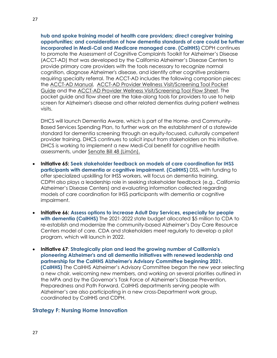**hub and spoke training model of health care providers; direct caregiver training opportunities; and consideration of how dementia standards of care could be further incorporated in Medi-Cal and Medicare managed care. (CalHHS)** CDPH continues to promote the Assessment of Cognitive Complaints Toolkit for Alzheimer's Disease (ACCT-AD) that was developed by the California Alzheimer's Disease Centers to provide primary care providers with the tools necessary to recognize normal cognition, diagnose Alzheimer's disease, and identify other cognitive problems requiring specialty referral. The ACCT-AD includes the following companion pieces**:**  the [ACCT-AD Manual,](https://www.cdph.ca.gov/Programs/CCDPHP/DCDIC/CDCB/CDPH%20Document%20Library/Alzheimers) [ACCT-AD Provider Wellness Visit/Screening Tool Pocket](https://www.cdph.ca.gov/Programs/CCDPHP/DCDIC/CDCB/CDPH%20Document%20Library/Alzheimers)  [Guide](https://www.cdph.ca.gov/Programs/CCDPHP/DCDIC/CDCB/CDPH%20Document%20Library/Alzheimers) and the [ACCT-AD Provider Wellness Visit/Screening Tool Flow Sheet.](https://www.cdph.ca.gov/Programs/CCDPHP/DCDIC/CDCB/CDPH%20Document%20Library/Alzheimers) The pocket guide and flow sheet are the take-along tools for providers to use to help screen for Alzheimer's disease and other related dementias during patient wellness visits.

DHCS will launch Dementia Aware, which is part of the Home- and Community-Based Services Spending Plan, to further work on the establishment of a statewide standard for dementia screening through an equity-focused, culturally competent provider training. DHCS continues to solicit input from stakeholders on this initiative. DHCS is working to implement a new Medi-Cal benefit for cognitive health assessments, under Senate Bill [48 \(Limón\).](https://leginfo.legislature.ca.gov/faces/billNavClient.xhtml?bill_id=202120220SB48)

- **Initiative 65: Seek stakeholder feedback on models of care coordination for IHSS participants with dementia or cognitive impairment. (CalHHS)** DSS, with funding to offer specialized upskilling for IHSS workers, will focus on dementia training. CDPH also plays a leadership role in seeking stakeholder feedback (e.g., California Alzheimer's Disease Centers) and evaluating information collected regarding models of care coordination for IHSS participants with dementia or cognitive impairment.
- **Initiative 66: Assess options to increase Adult Day Services, especially for people with dementia (CalHHS)** The 2021-2022 state budget allocated \$5 million to CDA to re-establish and modernize the community-based Alzheimer's Day Care Resource Centers model of care. CDA and stakeholders meet regularly to develop a pilot program, which will launch in 2022.
- **Initiative 67**: **Strategically plan and lead the growing number of California's pioneering Alzheimer's and all dementia initiatives with renewed leadership and partnership for the CalHHS Alzheimer's Advisory Committee beginning 2021. (CalHHS)** The CalHHS Alzheimer's Advisory Committee began the new year selecting a new chair, welcoming new members, and working on several priorities outlined in the MPA and by the Governor's Task Force of Alzheimer's Disease Prevention, Preparedness and Path Forward. CalHHS departments serving people with Alzheimer's are also participating in a new cross-Department work group, coordinated by CalHHS and CDPH.

#### **Strategy F: Nursing Home Innovation**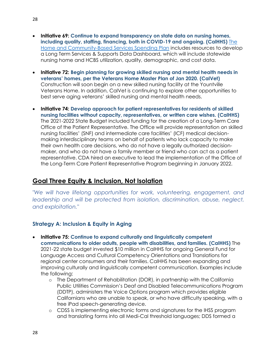- **Initiative 69: Continue to expand transparency on state data on nursing homes, including quality, staffing, financing, both in COVID-19 and ongoing. (CalHHS)** [The](https://www.dhcs.ca.gov/Documents/DHCS-HCBS-Spending-Plan-Web-Package-7-12-21.pdf)  [Home and Community-Based Services Spending Plan](https://www.dhcs.ca.gov/Documents/DHCS-HCBS-Spending-Plan-Web-Package-7-12-21.pdf) includes resources to develop a Long Term Services & Supports Data Dashboard, which will include statewide nursing home and HCBS utilization, quality, demographic, and cost data.
- **Initiative 72: Begin planning for growing skilled nursing and mental health needs in veterans' homes, per the Veterans Home Master Plan of Jan 2020. (CalVet)** Construction will soon begin on a new skilled nursing facility at the Yountville Veterans Home. In addition, CalVet is continuing to explore other opportunities to best serve aging veterans' skilled nursing and mental health needs.
- **Initiative 74: Develop approach for patient representatives for residents of skilled nursing facilities without capacity, representatives, or written care wishes. (CalHHS)**  The 2021-2022 State Budget included funding for the creation of a Long-Term Care Office of the Patient Representative. The Office will provide representation on skilled nursing facilities' (SNF) and intermediate care facilities' (ICF) medical decisionmaking interdisciplinary teams on behalf of patients who lack capacity to make their own health care decisions, who do not have a legally authorized decisionmaker, and who do not have a family member or friend who can act as a patient representative. CDA hired an executive to lead the implementation of the Office of the Long-Term Care Patient Representative Program beginning in January 2022.

# <span id="page-27-0"></span>**Goal Three Equity & Inclusion, Not Isolation**

*"We will have lifelong opportunities for work, volunteering, engagement, and leadership and will be protected from isolation, discrimination, abuse, neglect, and exploitation."*

### **Strategy A: Inclusion & Equity in Aging**

- **Initiative 75: Continue to expand culturally and linguistically competent communications to older adults, people with disabilities, and families. (CalHHS)** The 2021-22 state budget invested \$10 million in CalHHS for ongoing General Fund for Language Access and Cultural Competency Orientations and Translations for regional center consumers and their families. CalHHS has been expanding and improving culturally and linguistically competent communication. Examples include the following:
	- o The Department of Rehabilitation (DOR), in partnership with the California Public Utilities Commission's Deaf and Disabled Telecommunications Program (DDTP), administers the Voice Options program which provides eligible Californians who are unable to speak, or who have difficulty speaking, with a free iPad speech-generating device.
	- o CDSS is implementing electronic forms and signatures for the IHSS program and translating forms into all Medi-Cal threshold languages; DDS formed a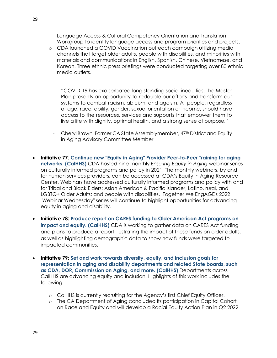Language Access & Cultural Competency Orientation and Translation Workgroup to identify language access and program priorities and projects.

o CDA launched a COVID Vaccination outreach campaign utilizing media channels that target older adults, people with disabilities, and minorities with materials and communications in English, Spanish, Chinese, Vietnamese, and Korean. Three ethnic press briefings were conducted targeting over 80 ethnic media outlets.

"COVID-19 has exacerbated long standing social inequities. The Master Plan presents an opportunity to redouble our efforts and transform our systems to combat racism, ableism, and ageism. All people, regardless of age, race, ability, gender, sexual orientation or income, should have access to the resources, services and supports that empower them to live a life with dignity, optimal health, and a strong sense of purpose."

- Cheryl Brown, Former CA State Assemblymember, 47th District and Equity in Aging Advisory Committee Member
- **Initiative 77**: **Continue new "Equity in Aging" Provider Peer-to-Peer Training for aging networks. (CalHHS)** CDA hosted nine monthly *Ensuring Equity in Aging* webinar series on culturally informed programs and policy in 2021. The monthly webinars, by and for human services providers, can be accessed at CDA's Equity in Aging Resource Center. Webinars have addressed culturally informed programs and policy with and for Tribal and Black Elders; Asian American & Pacific Islander, Latino, rural, and LGBTQ+ Older Adults; and people with disabilities. Together We EngAGE's 2022 "Webinar Wednesday" series will continue to highlight opportunities for advancing equity in aging and disability.
- **Initiative 78: Produce report on CARES funding to Older American Act programs on impact and equity. (CalHHS)** CDA is working to gather data on CARES Act funding and plans to produce a report illustrating the impact of these funds on older adults, as well as highlighting demographic data to show how funds were targeted to impacted communities.
- **Initiative 79: Set and work towards diversity, equity, and inclusion goals for representation in aging and disability departments and related State boards, such as CDA, DOR, Commission on Aging, and more. (CalHHS)** Departments across CalHHS are advancing equity and inclusion. Highlights of this work includes the following:
	- o CalHHS is currently recruiting for the Agency's first Chief Equity Officer.
	- o The CA Department of Aging concluded its participation in Capitol Cohort on Race and Equity and will develop a Racial Equity Action Plan in Q2 2022.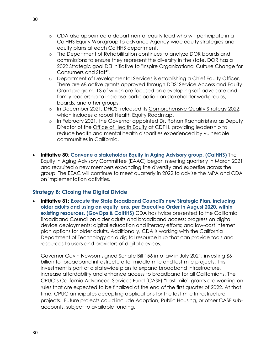- o CDA also appointed a departmental equity lead who will participate in a CalHHS Equity Workgroup to advance Agency-wide equity strategies and equity plans at each CalHHS department.
- o The Department of Rehabilitation continues to analyze DOR boards and commissions to ensure they represent the diversity in the state. DOR has a 2022 Strategic goal DEI initiative to "Inspire Organizational Culture Change for Consumers and Staff".
- o Department of Developmental Services is establishing a Chief Equity Officer. There are 68 active grants approved through DDS' Service Access and Equity Grant program, 13 of which are focused on developing self-advocate and family leadership to increase participation on stakeholder workgroups, boards, and other groups.
- o In December 2021, DHCS released its [Comprehensive Quality Strategy 2022,](https://www.dhcs.ca.gov/services/Documents/DHCS-Comprehensive-Quality-Strategy-2022.pdf) which includes a robust Health Equity Roadmap.
- o In February 2021, the Governor appointed Dr. Rohan Radhakrishna as Deputy Director of the [Office of Health Equity](https://www.cdph.ca.gov/Programs/OHE/Pages/OfficeHealthEquity.aspx) at CDPH, providing leadership to reduce health and mental health disparities experienced by vulnerable communities in California.
- **Initiative 80**: **Convene a stakeholder Equity in Aging Advisory group. (CalHHS)** The Equity in Aging Advisory Committee (EAAC) began meeting quarterly in March 2021 and recruited 6 new members expanding the diversity and expertise across the group. The EEAC will continue to meet quarterly in 2022 to advise the MPA and CDA on implementation activities.

### **Strategy B: Closing the Digital Divide**

• **Initiative 81: Execute the State Broadband Council's new Strategic Plan, including older adults and using an equity lens, per Executive Order in August 2020, within existing resources. (GovOps & CalHHS)** CDA has twice presented to the California Broadband Council on older adults and broadband access; progress on digital device deployments; digital education and literacy efforts; and low-cost internet plan options for older adults. Additionally, CDA is working with the California Department of Technology on a digital resource hub that can provide tools and resources to users and providers of digital devices.

Governor Gavin Newson signed Senate Bill 156 into law in July 2021, investing \$6 billion for broadband infrastructure for middle-mile and last-mile projects. This investment is part of a statewide plan to expand broadband infrastructure, increase affordability and enhance access to broadband for all Californians. The CPUC's California Advanced Services Fund (CASF) "Last-mile" grants are working on rules that are expected to be finalized at the end of the first quarter of 2022. At that time, CPUC anticipates accepting applications for the last-mile Infrastructure projects. Future projects could include Adoption, Public Housing, or other CASF subaccounts, subject to available funding.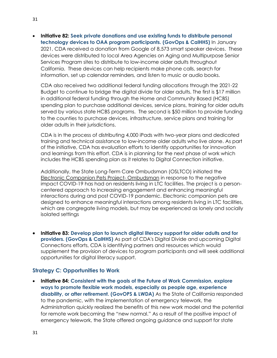• **Initiative 82: Seek private donations and use existing funds to distribute personal technology devices to OAA program participants. (GovOps & CalHHS)** In January 2021, CDA received a donation from Google of 8,573 smart speaker devices. These devices were distributed to local Area Agencies on Aging and Multipurpose Senior Services Program sites to distribute to low-income older adults throughout California. These devices can help recipients make phone calls, search for information, set up calendar reminders, and listen to music or audio books.

CDA also received two additional federal funding allocations through the 2021-22 Budget to continue to bridge the digital divide for older adults. The first is \$17 million in additional federal funding through the Home and Community Based (HCBS) spending plan to purchase additional devices, service plans, training for older adults served by various state HCBS programs. The second is \$50 million to provide funding to the counties to purchase devices, infrastructure, service plans and training for older adults in their jurisdictions.

CDA is in the process of distributing 4,000 iPads with two-year plans and dedicated training and technical assistance to low-income older adults who live alone. As part of the initiative, CDA has evaluation efforts to identify opportunities for innovation and learnings from this effort. CDA is in planning for the next phase of work which includes the HCBS spending plan as it relates to Digital Connection initiative.

Additionally, the State Long-Term Care Ombudsman (OSLTCO) initiated the [Electronic Companion Pets Project-](https://abc7.com/robots-robotics-robot-pets-cats/11295183/) Ombudsman in response to the negative impact COVID-19 has had on residents living in LTC facilities. The project is a personcentered approach to increasing engagement and enhancing meaningful interactions during and post COVID-19 pandemic. Electronic companion pets are designed to enhance meaningful interactions among residents living in LTC facilities, which are congregate living models, but may be experienced as lonely and socially isolated settings

• **Initiative 83: Develop plan to launch digital literacy support for older adults and for providers. (GovOps & CalHHS)** As part of CDA's Digital Divide and upcoming Digital Connections efforts, CDA is identifying partners and resources which would supplement the provision of devices to program participants and will seek additional opportunities for digital literacy support.

#### **Strategy C: Opportunities to Work**

• **Initiative 84: Consistent with the goals of the Future of Work Commission, explore ways to promote flexible work models, especially as people age, experience disability, or after retirement. (GovOPS & LWDA)** As the State of California responded to the pandemic, with the implementation of emergency telework, the Administration quickly realized the benefits of this new work model and the potential for remote work becoming the "new normal." As a result of the positive impact of emergency telework, the State offered ongoing guidance and support for state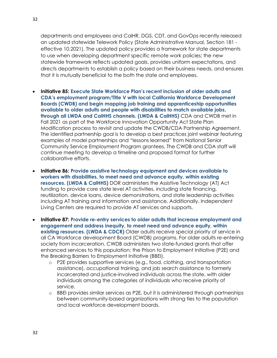departments and employees and CalHR, DGS, CDT, and GovOps recently released an updated statewide Telework Policy (State Administrative Manual, Section 181 effective 10.2021). The updated policy provides a framework for state departments to use when developing department specific remote work policies; the new statewide framework reflects updated goals, provides uniform expectations, and directs departments to establish a policy based on their business needs, and ensures that it is mutually beneficial to the both the state and employees.

- **Initiative 85: Execute State Workforce Plan's recent inclusion of older adults and CDA's employment program/Title V with local California Workforce Development Boards (CWDB) and begin mapping job training and apprenticeship opportunities available to older adults and people with disabilities to match available jobs, through all LWDA and CalHHS channels. (LWDA & CalHHS)** CDA and CWDB met in Fall 2021 as part of the Workforce Innovation Opportunity Act State Plan Modification process to revisit and update the CWDB/CDA Partnership Agreement. The identified partnership goal is to develop a best practices joint webinar featuring examples of model partnerships and "lessons learned" from National Senior Community Service Employment Program grantees. The CWDB and CDA staff will continue meeting to develop a timeline and proposed format for further collaborative efforts.
- **Initiative 86: Provide assistive technology equipment and devices available to workers with disabilities, to meet need and advance equity, within existing resources. (LWDA & CalHHS)** DOR administers the Assistive Technology (AT) Act funding to provide core state level AT activities, including state financing, reutilization, device loans, device demonstrations, and state leadership activities including AT training and information and assistance. Additionally, Independent Living Centers are required to provide AT services and supports.
- **Initiative 87: Provide re-entry services to older adults that increase employment and engagement and address inequity, to meet need and advance equity, within existing resources. (LWDA & CDCR)** Older adults receive special priority of service in all CA Workforce development Board (CWDB) programs. For older adults re-entering society from incarceration, CWDB administers two state-funded grants that offer enhanced services to this population: the Prison to Employment Initiative (P2E) and the Breaking Barriers to Employment Initiative (BBEI).
	- o P2E provides supportive services (e.g., food, clothing, and transportation assistance), occupational training, and job search assistance to formerly incarcerated and justice-involved individuals across the state, with older individuals among the categories of individuals who receive priority of service.
	- o BBEI provides similar services as P2E, but it is administered through partnerships between community-based organizations with strong ties to the population and local workforce development boards.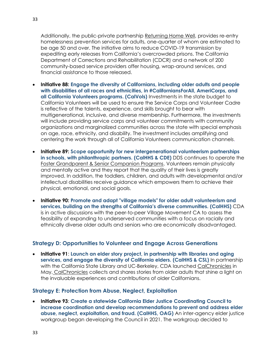Additionally, the public-private partnership [Returning Home Well,](https://www.amityfdn.org/featured-partnerships/returning-home-well-initiative) provides re-entry homelessness prevention services for adults, one-quarter of whom are estimated to be age 50 and over. The initiative aims to reduce COVID-19 transmission by expediting early releases from California's overcrowded prisons. The California Department of Corrections and Rehabilitation (CDCR) and a network of 200 community-based service providers offer housing, wrap-around services, and financial assistance to those released.

- **Initiative 88: Engage the diversity of Californians, including older adults and people with disabilities of all races and ethnicities, in #CaliforniansForAll, AmeriCorps, and all California Volunteers programs. (CalVols)** Investments in the state budget to California Volunteers will be used to ensure the Service Corps and Volunteer Cadre is reflective of the talents, experience, and skills brought to bear with multigenerational, inclusive, and diverse membership. Furthermore, the investments will include providing service corps and volunteer commitments with community organizations and marginalized communities across the state with special emphasis on age, race, ethnicity, and disability. The investment includes amplifying and centering the work through all of California Volunteers communication channels.
- **Initiative 89: Scope opportunity for new intergenerational volunteerism partnerships in schools, with philanthropic partners. (CalHHS & CDE)** DDS continues to operate the [Foster Grandparent & Senior Companion Programs.](https://www.dds.ca.gov/rc/fg-scp/) Volunteers remain physically and mentally active and they report that the quality of their lives is greatly improved. In addition, the toddlers, children, and adults with developmental and/or intellectual disabilities receive guidance which empowers them to achieve their physical, emotional, and social goals.
- **Initiative 90: Promote and adapt "village models" for older adult volunteerism and services, building on the strengths of California's diverse communities. (CalHHS)** CDA is in active discussions with the peer-to-peer Village Movement CA to assess the feasibility of expanding to underserved communities with a focus on racially and ethnically diverse older adults and seniors who are economically disadvantaged.

#### **Strategy D: Opportunities to Volunteer and Engage Across Generations**

• **Initiative 91**: **Launch an elder story project, in partnership with libraries and aging services, and engage the diversity of California elders. (CalHHS & CSL)** In partnership with the California State Library and UC-Berkeley, CDA launched [CalChronicles](https://www.calchronicles.com/) in May. [CalChronicles](https://www.calchronicles.com/) collects and shares stories from older adults that shine a light on the invaluable experiences and contributions of older Californians.

#### **Strategy E: Protection from Abuse, Neglect, Exploitation**

• **Initiative 93**: **Create a statewide California Elder Justice Coordinating Council to increase coordination and develop recommendations to prevent and address elder abuse, neglect, exploitation, and fraud. (CalHHS, OAG)** An inter-agency elder justice workgroup began developing the Council in 2021. The workgroup decided to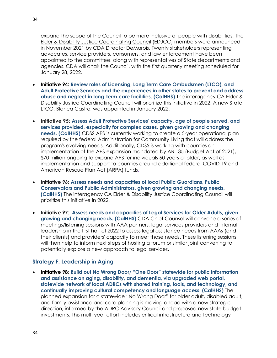expand the scope of the Council to be more inclusive of people with disabilities. The [Elder & Disability Justice Coordinating Council](https://www.chhs.ca.gov/home/committees/elder-and-disability-justice-coordinating-council/) (EDJCC) members were announced in November 2021 by CDA Director DeMarois. Twenty stakeholders representing advocates, service providers, consumers, and law enforcement have been appointed to the committee, along with representatives of State departments and agencies. CDA will chair the Council, with the first quarterly meeting scheduled for January 28, 2022.

- **Initiative 94: Review roles of Licensing, Long Term Care Ombudsmen (LTCO), and Adult Protective Services and the experiences in other states to prevent and address abuse and neglect in long-term care facilities. (CalHHS)** The interagency CA Elder & Disability Justice Coordinating Council will prioritize this initiative in 2022. A new State LTCO, Blanca Castro, was appointed in January 2022.
- **Initiative 95**: **Assess Adult Protective Services' capacity, age of people served, and services provided, especially for complex cases, given growing and changing needs. (CalHHS)** CDSS APS is currently working to create a 5-year operational plan required by the federal Administration for Community Living that will address the program's evolving needs. Additionally, CDSS is working with counties on implementation of the APS expansion mandated by AB 135 (Budget Act of 2021), \$70 million ongoing to expand APS for individuals 60 years or older, as well as implementation and support to counties around additional federal COVID-19 and American Rescue Plan Act (ARPA) funds.
- **Initiative 96: Assess needs and capacities of local Public Guardians, Public Conservators and Public Administrators, given growing and changing needs. (CalHHS)** The interagency CA Elder & Disability Justice Coordinating Council will prioritize this initiative in 2022.
- **Initiative 97**: **Assess needs and capacities of Legal Services for Older Adults, given growing and changing needs. (CalHHS)** CDA Chief Counsel will convene a series of meetings/listening sessions with AAA partners, legal services providers and internal leadership in the first half of 2022 to assess legal assistance needs from AAAs (and their clients) and providers' capacity to meet those needs. These listening sessions will then help to inform next steps of hosting a forum or similar joint convening to potentially explore a new approach to legal services.

#### **Strategy F: Leadership in Aging**

• **Initiative 98**: **Build out No Wrong Door/ "One Door" statewide for public information and assistance on aging, disability, and dementia, via upgraded web portal, statewide network of local ADRCs with shared training, tools, and technology, and continually improving cultural competency and language access. (CalHHS)** The planned expansion for a statewide "No Wrong Door" for older adult, disabled adult, and family assistance and care planning is moving ahead with a new strategic direction, informed by the ADRC Advisory Council and proposed new state budget investments. This multi-year effort includes critical infrastructure and technology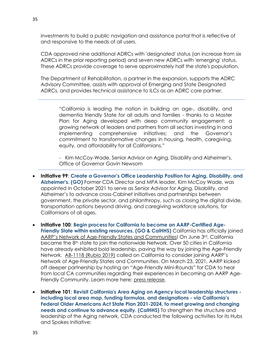investments to build a public navigation and assistance portal that is reflective of and responsive to the needs of all users.

CDA approved nine additional ADRCs with 'designated' status (an increase from six ADRCs in the prior reporting period) and seven new ADRCs with 'emerging' status. These ADRCs provide coverage to serve approximately half the state's population.

The Department of Rehabilitation, a partner in the expansion, supports the ADRC Advisory Committee, assists with approval of Emerging and State Designated ADRCs, and provides technical assistance to ILCs as an ADRC core partner.

"California is leading the nation in building an age-, disability, and dementia friendly State for all adults and families - thanks to a Master Plan for Aging developed with deep community engagement; a growing network of leaders and partners from all sectors investing in and implementing comprehensive initiatives; and the Governor's commitment to transformative changes in housing, health, caregiving, equity, and affordability for all Californians."

- Kim McCoy-Wade, Senior Advisor on Aging, Disability and Alzheimer's, Office of Governor Gavin Newsom

- **Initiative 99**: **Create a Governor's Office Leadership Position for Aging, Disability, and Alzheimer's. (GO)** Former CDA Director and MPA leader, Kim McCoy Wade, was appointed in October 2021 to serve as Senior Advisor for Aging, Disability, and Alzheimer's to advance cross-Cabinet initiatives and partnerships between government, the private sector, and philanthropy, such as closing the digital divide, transportation options beyond driving, and caregiving workforce solutions, for Californians of all ages.
- **Initiative 100**: **Begin process for California to become an AARP-Certified Age-Friendly State within existing resources. (GO & CalHHS)** California has officially joined AARP's Network of Age[-Friendly States and Communities!](https://www.aarp.org/livable-communities/network-age-friendly-communities/) On June 3rd, California became the 8<sup>th</sup> state to join the nationwide Network. Over 50 cities in California have already exhibited bold leadership, paving the way by joining the Age-Friendly Network. [AB-1118 \(Rubio 2019\)](https://leginfo.legislature.ca.gov/faces/billTextClient.xhtml?bill_id=201920200AB1118) called on California to consider joining AARP's Network of Age-Friendly States and Communities. On March 23, 2021, AARP kicked off deeper partnership by hosting an "Age-Friendly Mini-Rounds" for CDA to hear from local CA communities regarding their experiences in becoming an AARP AgeFriendly Community. Learn more here: [press release.](https://states.aarp.org/california/agefriendlyca)
- **Initiative 101**: **Revisit California's Area Aging on Agency local leadership structures including local area map, funding formulas, and designations - via California's Federal Older Americans Act State Plan 2021-2024, to meet growing and changing needs and continue to advance equity. (CalHHS)** To strengthen the structure and leadership of the Aging network, CDA conducted the following activities for its Hubs and Spokes Initiative: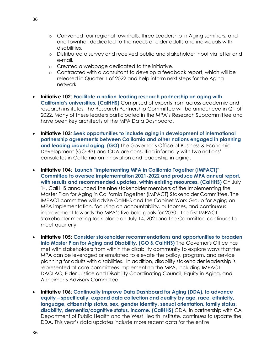- o Convened four regional townhalls, three Leadership in Aging seminars, and one townhall dedicated to the needs of older adults and individuals with disabilities.
- o Distributed a survey and received public and stakeholder input via letter and e-mail.
- o Created a webpage dedicated to the initiative.
- o Contracted with a consultant to develop a feedback report, which will be released in Quarter 1 of 2022 and help inform next steps for the Aging network
- **Initiative 102**: **Facilitate a nation-leading research partnership on aging with California's universities. (CalHHS)** Comprised of experts from across academic and research institutes, the Research Partnership Committee will be announced in Q1 of 2022. Many of these leaders participated in the MPA's Research Subcommittee and have been key architects of the MPA Data Dashboard.
- **Initiative 103**: **Seek opportunities to include aging in development of international partnership agreements between California and other nations engaged in planning and leading around aging. (GO)** The Governor's Office of Business & Economic Development (GO-Biz) and CDA are consulting informally with two nations' consulates in California on innovation and leadership in aging.
- **Initiative 104**: **Launch "Implementing MPA in California Together (IMPACT)" Committee to oversee implementation 2021-2022 and produce MPA annual report, with results and recommended updates, within existing resources. (CalHHS)** On July 1st, CalHHS announced the nine stakeholder members of the Implementing the [Master Plan for Aging in California Together \(IMPACT\) Stakeholder Committee.](https://www.chhs.ca.gov/home/master-plan-for-aging/#overview) The IMPACT committee will advise CalHHS and the Cabinet Work Group for Aging on MPA implementation, focusing on accountability, outcomes, and continuous improvement towards the MPA's five bold goals for 2030. The first IMPACT Stakeholder meeting took place on July 14, 2021and the Committee continues to meet quarterly.
- **Initiative 105: Consider stakeholder recommendations and opportunities to broaden into Master Plan for Aging and Disability. (GO & CalHHS)** The Governor's Office has met with stakeholders from within the disability community to explore ways that the MPA can be leveraged or emulated to elevate the policy, program, and service planning for adults with disabilities. In addition, disability stakeholder leadership is represented at core committees implementing the MPA, including IMPACT, DACLAC, Elder Justice and Disability Coordinating Council, Equity in Aging, and Alzheimer's Advisory Committee.
- **Initiative 106**: **Continually improve Data Dashboard for Aging (DDA), to advance equity – specifically, expand data collection and quality by age, race, ethnicity, language, citizenship status, sex, gender identity, sexual orientation, family status, disability, dementia/cognitive status, income. (CalHHS)** CDA, in partnership with CA Department of Public Health and the West Health Institute, continues to update the DDA. This year's data updates include more recent data for the entire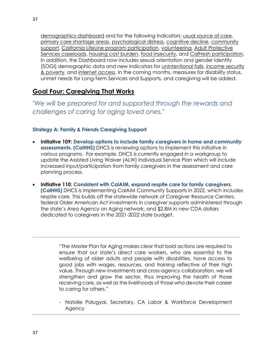[demographics dashboard](https://gcc02.safelinks.protection.outlook.com/?url=https%3A%2F%2Fletsgethealthy.ca.gov%2Fmpa-data-dashboard-for-aging%2F%23demographics-dashboard&data=04%7C01%7Camanda.lawrence%40aging.ca.gov%7Ca43f98d7d6734aabeacf08d9c63b39a8%7Ccc1525417fca4553885c4c3ac7328bb6%7C0%7C0%7C637758779945561943%7CUnknown%7CTWFpbGZsb3d8eyJWIjoiMC4wLjAwMDAiLCJQIjoiV2luMzIiLCJBTiI6Ik1haWwiLCJXVCI6Mn0%3D%7C3000&sdata=bNKvuZdAG%2BCV6ThswMCvBMKoSh6ghignX38xih1biqk%3D&reserved=0) and for the following indicators: [usual source of care,](https://gcc02.safelinks.protection.outlook.com/?url=https%3A%2F%2Fletsgethealthy.ca.gov%2Fmpa-data-dashboard-for-aging%2Fhealth-reimagined%2F%23health-care-as-we-age&data=04%7C01%7Camanda.lawrence%40aging.ca.gov%7Ca43f98d7d6734aabeacf08d9c63b39a8%7Ccc1525417fca4553885c4c3ac7328bb6%7C0%7C0%7C637758779945561943%7CUnknown%7CTWFpbGZsb3d8eyJWIjoiMC4wLjAwMDAiLCJQIjoiV2luMzIiLCJBTiI6Ik1haWwiLCJXVCI6Mn0%3D%7C3000&sdata=dqKUxK2EqZV65vKdKJtS342VzwsH9nUBjfRqBAnI9aY%3D&reserved=0) [primary care shortage areas,](https://gcc02.safelinks.protection.outlook.com/?url=https%3A%2F%2Fletsgethealthy.ca.gov%2Fmpa-data-dashboard-for-aging%2Fhealth-reimagined%2F%23health-care-as-we-age&data=04%7C01%7Camanda.lawrence%40aging.ca.gov%7Ca43f98d7d6734aabeacf08d9c63b39a8%7Ccc1525417fca4553885c4c3ac7328bb6%7C0%7C0%7C637758779945561943%7CUnknown%7CTWFpbGZsb3d8eyJWIjoiMC4wLjAwMDAiLCJQIjoiV2luMzIiLCJBTiI6Ik1haWwiLCJXVCI6Mn0%3D%7C3000&sdata=dqKUxK2EqZV65vKdKJtS342VzwsH9nUBjfRqBAnI9aY%3D&reserved=0) [psychological distress,](https://gcc02.safelinks.protection.outlook.com/?url=https%3A%2F%2Fletsgethealthy.ca.gov%2Fmpa-data-dashboard-for-aging%2Fhealth-reimagined%2F%23lifelong-healthy-aging&data=04%7C01%7Camanda.lawrence%40aging.ca.gov%7Ca43f98d7d6734aabeacf08d9c63b39a8%7Ccc1525417fca4553885c4c3ac7328bb6%7C0%7C0%7C637758779945561943%7CUnknown%7CTWFpbGZsb3d8eyJWIjoiMC4wLjAwMDAiLCJQIjoiV2luMzIiLCJBTiI6Ik1haWwiLCJXVCI6Mn0%3D%7C3000&sdata=GLGIH21mX2pzj%2B5yuKg%2B9aGaAFDu%2BtcZM%2FRKjK0%2Bs2U%3D&reserved=0) [cognitive decline,](https://gcc02.safelinks.protection.outlook.com/?url=https%3A%2F%2Fletsgethealthy.ca.gov%2Fmpa-data-dashboard-for-aging%2Fhealth-reimagined%2F%23dementia-in-focus&data=04%7C01%7Camanda.lawrence%40aging.ca.gov%7Ca43f98d7d6734aabeacf08d9c63b39a8%7Ccc1525417fca4553885c4c3ac7328bb6%7C0%7C0%7C637758779945561943%7CUnknown%7CTWFpbGZsb3d8eyJWIjoiMC4wLjAwMDAiLCJQIjoiV2luMzIiLCJBTiI6Ik1haWwiLCJXVCI6Mn0%3D%7C3000&sdata=HZQF9M4OngVPJTqyGK8jHOTX1McS3s84gSyLROc1vI4%3D&reserved=0) [community](https://gcc02.safelinks.protection.outlook.com/?url=https%3A%2F%2Fletsgethealthy.ca.gov%2Fmpa-data-dashboard-for-aging%2Finclusion-and-equity-not-isolation%2F%23inclusion-and-equity-in-aging&data=04%7C01%7Camanda.lawrence%40aging.ca.gov%7Ca43f98d7d6734aabeacf08d9c63b39a8%7Ccc1525417fca4553885c4c3ac7328bb6%7C0%7C0%7C637758779945561943%7CUnknown%7CTWFpbGZsb3d8eyJWIjoiMC4wLjAwMDAiLCJQIjoiV2luMzIiLCJBTiI6Ik1haWwiLCJXVCI6Mn0%3D%7C3000&sdata=u4fKA5HZhIO5DkK5kJ6C7bIqZa3KMrhP1dkTNH49fXg%3D&reserved=0)  [support,](https://gcc02.safelinks.protection.outlook.com/?url=https%3A%2F%2Fletsgethealthy.ca.gov%2Fmpa-data-dashboard-for-aging%2Finclusion-and-equity-not-isolation%2F%23inclusion-and-equity-in-aging&data=04%7C01%7Camanda.lawrence%40aging.ca.gov%7Ca43f98d7d6734aabeacf08d9c63b39a8%7Ccc1525417fca4553885c4c3ac7328bb6%7C0%7C0%7C637758779945561943%7CUnknown%7CTWFpbGZsb3d8eyJWIjoiMC4wLjAwMDAiLCJQIjoiV2luMzIiLCJBTiI6Ik1haWwiLCJXVCI6Mn0%3D%7C3000&sdata=u4fKA5HZhIO5DkK5kJ6C7bIqZa3KMrhP1dkTNH49fXg%3D&reserved=0) [California LifeLine program participation,](https://gcc02.safelinks.protection.outlook.com/?url=https%3A%2F%2Fletsgethealthy.ca.gov%2Fmpa-data-dashboard-for-aging%2Finclusion-and-equity-not-isolation%2F%23closing-the-digital-divide&data=04%7C01%7Camanda.lawrence%40aging.ca.gov%7Ca43f98d7d6734aabeacf08d9c63b39a8%7Ccc1525417fca4553885c4c3ac7328bb6%7C0%7C0%7C637758779945561943%7CUnknown%7CTWFpbGZsb3d8eyJWIjoiMC4wLjAwMDAiLCJQIjoiV2luMzIiLCJBTiI6Ik1haWwiLCJXVCI6Mn0%3D%7C3000&sdata=KL92kyQ%2BmPPGtkk8vOHwH%2BeD2Xmp%2BAEuYE6D8AKeTGs%3D&reserved=0) [volunteering,](https://gcc02.safelinks.protection.outlook.com/?url=https%3A%2F%2Fletsgethealthy.ca.gov%2Fmpa-data-dashboard-for-aging%2Finclusion-and-equity-not-isolation%2F%23opportunities-to-volunteer-and-engage-across-generations&data=04%7C01%7Camanda.lawrence%40aging.ca.gov%7Ca43f98d7d6734aabeacf08d9c63b39a8%7Ccc1525417fca4553885c4c3ac7328bb6%7C0%7C0%7C637758779945561943%7CUnknown%7CTWFpbGZsb3d8eyJWIjoiMC4wLjAwMDAiLCJQIjoiV2luMzIiLCJBTiI6Ik1haWwiLCJXVCI6Mn0%3D%7C3000&sdata=URYT1IP4UJleX1jK1VXr%2FZWN7nfg%2F5lN9hI0yV0WSBU%3D&reserved=0) [Adult Protective](https://gcc02.safelinks.protection.outlook.com/?url=https%3A%2F%2Fletsgethealthy.ca.gov%2Fmpa-data-dashboard-for-aging%2Finclusion-and-equity-not-isolation%2F%23protections-from-abuse-neglect-and-exploitation&data=04%7C01%7Camanda.lawrence%40aging.ca.gov%7Ca43f98d7d6734aabeacf08d9c63b39a8%7Ccc1525417fca4553885c4c3ac7328bb6%7C0%7C0%7C637758779945561943%7CUnknown%7CTWFpbGZsb3d8eyJWIjoiMC4wLjAwMDAiLCJQIjoiV2luMzIiLCJBTiI6Ik1haWwiLCJXVCI6Mn0%3D%7C3000&sdata=5KeXRmTg0IpuAWlBCf2gfUYu3O6mYt%2FFBimQFvzpRD0%3D&reserved=0)  [Services caseloads,](https://gcc02.safelinks.protection.outlook.com/?url=https%3A%2F%2Fletsgethealthy.ca.gov%2Fmpa-data-dashboard-for-aging%2Finclusion-and-equity-not-isolation%2F%23protections-from-abuse-neglect-and-exploitation&data=04%7C01%7Camanda.lawrence%40aging.ca.gov%7Ca43f98d7d6734aabeacf08d9c63b39a8%7Ccc1525417fca4553885c4c3ac7328bb6%7C0%7C0%7C637758779945561943%7CUnknown%7CTWFpbGZsb3d8eyJWIjoiMC4wLjAwMDAiLCJQIjoiV2luMzIiLCJBTiI6Ik1haWwiLCJXVCI6Mn0%3D%7C3000&sdata=5KeXRmTg0IpuAWlBCf2gfUYu3O6mYt%2FFBimQFvzpRD0%3D&reserved=0) [housing cost burden,](https://gcc02.safelinks.protection.outlook.com/?url=https%3A%2F%2Fletsgethealthy.ca.gov%2Fmpa-data-dashboard-for-aging%2Faffording-aging%2F%23end-homelessness-for-older-adults&data=04%7C01%7Camanda.lawrence%40aging.ca.gov%7Ca43f98d7d6734aabeacf08d9c63b39a8%7Ccc1525417fca4553885c4c3ac7328bb6%7C0%7C0%7C637758779945561943%7CUnknown%7CTWFpbGZsb3d8eyJWIjoiMC4wLjAwMDAiLCJQIjoiV2luMzIiLCJBTiI6Ik1haWwiLCJXVCI6Mn0%3D%7C3000&sdata=N25LexVRO7EUAtNQiz8MyukKdg2%2BhUiHtx5jiARlz%2Fs%3D&reserved=0) [food insecurity,](https://gcc02.safelinks.protection.outlook.com/?url=https%3A%2F%2Fletsgethealthy.ca.gov%2Fmpa-data-dashboard-for-aging%2Faffording-aging%2F%23protection-from-poverty-and-hunger&data=04%7C01%7Camanda.lawrence%40aging.ca.gov%7Ca43f98d7d6734aabeacf08d9c63b39a8%7Ccc1525417fca4553885c4c3ac7328bb6%7C0%7C0%7C637758779945561943%7CUnknown%7CTWFpbGZsb3d8eyJWIjoiMC4wLjAwMDAiLCJQIjoiV2luMzIiLCJBTiI6Ik1haWwiLCJXVCI6Mn0%3D%7C3000&sdata=EopiiNa2ihNoGKOMSBQXQQbz1CxxEUfp%2FJY%2FH5noiUs%3D&reserved=0) and [CalFresh participation.](https://gcc02.safelinks.protection.outlook.com/?url=https%3A%2F%2Fletsgethealthy.ca.gov%2Fmpa-data-dashboard-for-aging%2Faffording-aging%2F%23protection-from-poverty-and-hunger&data=04%7C01%7Camanda.lawrence%40aging.ca.gov%7Ca43f98d7d6734aabeacf08d9c63b39a8%7Ccc1525417fca4553885c4c3ac7328bb6%7C0%7C0%7C637758779945561943%7CUnknown%7CTWFpbGZsb3d8eyJWIjoiMC4wLjAwMDAiLCJQIjoiV2luMzIiLCJBTiI6Ik1haWwiLCJXVCI6Mn0%3D%7C3000&sdata=EopiiNa2ihNoGKOMSBQXQQbz1CxxEUfp%2FJY%2FH5noiUs%3D&reserved=0) In addition, the Dashboard now includes sexual orientation and gender identity (SOGI) demographic data and new indicators for [unintentional falls,](https://gcc02.safelinks.protection.outlook.com/?url=https%3A%2F%2Fletsgethealthy.ca.gov%2Fmpa-data-dashboard-for-aging%2Fhealth-reimagined%2F%23lifelong-healthy-aging&data=04%7C01%7Camanda.lawrence%40aging.ca.gov%7Ca43f98d7d6734aabeacf08d9c63b39a8%7Ccc1525417fca4553885c4c3ac7328bb6%7C0%7C0%7C637758779945561943%7CUnknown%7CTWFpbGZsb3d8eyJWIjoiMC4wLjAwMDAiLCJQIjoiV2luMzIiLCJBTiI6Ik1haWwiLCJXVCI6Mn0%3D%7C3000&sdata=GLGIH21mX2pzj%2B5yuKg%2B9aGaAFDu%2BtcZM%2FRKjK0%2Bs2U%3D&reserved=0) [income security](https://gcc02.safelinks.protection.outlook.com/?url=https%3A%2F%2Fletsgethealthy.ca.gov%2Fmpa-data-dashboard-for-aging%2Faffording-aging%2F%23income-security-as-we-age&data=04%7C01%7Camanda.lawrence%40aging.ca.gov%7Ca43f98d7d6734aabeacf08d9c63b39a8%7Ccc1525417fca4553885c4c3ac7328bb6%7C0%7C0%7C637758779945561943%7CUnknown%7CTWFpbGZsb3d8eyJWIjoiMC4wLjAwMDAiLCJQIjoiV2luMzIiLCJBTiI6Ik1haWwiLCJXVCI6Mn0%3D%7C3000&sdata=nkYb5w2KgPYWQ3C0BKnsWzRqkPz2W6uEGRwRjJLHdFg%3D&reserved=0)  [& poverty,](https://gcc02.safelinks.protection.outlook.com/?url=https%3A%2F%2Fletsgethealthy.ca.gov%2Fmpa-data-dashboard-for-aging%2Faffording-aging%2F%23income-security-as-we-age&data=04%7C01%7Camanda.lawrence%40aging.ca.gov%7Ca43f98d7d6734aabeacf08d9c63b39a8%7Ccc1525417fca4553885c4c3ac7328bb6%7C0%7C0%7C637758779945561943%7CUnknown%7CTWFpbGZsb3d8eyJWIjoiMC4wLjAwMDAiLCJQIjoiV2luMzIiLCJBTiI6Ik1haWwiLCJXVCI6Mn0%3D%7C3000&sdata=nkYb5w2KgPYWQ3C0BKnsWzRqkPz2W6uEGRwRjJLHdFg%3D&reserved=0) and [internet access.](https://gcc02.safelinks.protection.outlook.com/?url=https%3A%2F%2Fletsgethealthy.ca.gov%2Fmpa-data-dashboard-for-aging%2Finclusion-and-equity-not-isolation%2F%23closing-the-digital-divide&data=04%7C01%7Camanda.lawrence%40aging.ca.gov%7Ca43f98d7d6734aabeacf08d9c63b39a8%7Ccc1525417fca4553885c4c3ac7328bb6%7C0%7C0%7C637758779945561943%7CUnknown%7CTWFpbGZsb3d8eyJWIjoiMC4wLjAwMDAiLCJQIjoiV2luMzIiLCJBTiI6Ik1haWwiLCJXVCI6Mn0%3D%7C3000&sdata=KL92kyQ%2BmPPGtkk8vOHwH%2BeD2Xmp%2BAEuYE6D8AKeTGs%3D&reserved=0) In the coming months, measures for disability status, unmet needs for Long-Term Services and Supports, and caregiving will be added.

# <span id="page-36-0"></span>**Goal Four: Caregiving That Works**

*"We will be prepared for and supported through the rewards and challenges of caring for aging loved ones."*

#### **Strategy A: Family & Friends Caregiving Support**

- **Initiative 109: Develop options to include family caregivers in home and community assessments. (CalHHS)** DHCS is reviewing options to implement this initiative in various programs. For example, DHCS is currently engaged in a workgroup to update the Assisted Living Waiver (ALW) Individual Service Plan which will include increased input/participation from family caregivers in the assessment and care planning process.
- **Initiative 110: Consistent with CalAIM, expand respite care for family caregivers. (CalHHS)** DHCS is implementing CalAIM Community Supports in 2022, which includes respite care. This builds off the statewide network of Caregiver Resource Centers, federal Older American Act investments in caregiver supports administered through the state's Area Agency on Aging network, and \$2.8M in new CDA dollars dedicated to caregivers in the 2021-2022 state budget.

"The Master Plan for Aging makes clear that bold actions are required to ensure that our state's direct care workers, who are essential to the wellbeing of older adults and people with disabilities, have access to good jobs with wages, resources, and training reflective of their high value. Through new investments and cross-agency collaboration, we will strengthen and grow the sector, thus improving the health of those receiving care, as well as the livelihoods of those who devote their career to caring for others."

- Natalie Palugyai, Secretary, CA Labor & Workforce Development Agency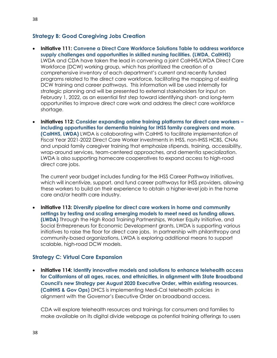### **Strategy B: Good Caregiving Jobs Creation**

- **Initiative 111: Convene a Direct Care Workforce Solutions Table to address workforce supply challenges and opportunities in skilled nursing facilities. (LWDA, CalHHS)** LWDA and CDA have taken the lead in convening a joint CalHHS/LWDA Direct Care Workforce (DCW) working group, which has prioritized the creation of a comprehensive inventory of each department's current and recently funded programs related to the direct care workforce, facilitating the mapping of existing DCW training and career pathways. This information will be used internally for strategic planning and will be presented to external stakeholders for input on February 1, 2022, as an essential first step toward identifying short- and long-term opportunities to improve direct care work and address the direct care workforce shortage.
- **Initiatives 112: Consider expanding online training platforms for direct care workers – including opportunities for dementia training for IHSS family caregivers and more. (CalHHS, LWDA)** LWDA is collaborating with CalHHS to facilitate implementation of Fiscal Year 2021-2022 Direct Care Worker investments in IHSS, non-IHSS HCBS, CNAs and unpaid family caregiver training that emphasize stipends, training, accessibility, wrap-around services, team-centered approaches, and dementia specialization. LWDA is also supporting homecare cooperatives to expand access to high-road direct care jobs.

The current year budget includes funding for the IHSS Career Pathway Initiatives, which will incentivize, support, and fund career pathways for IHSS providers, allowing these workers to build on their experience to obtain a higher-level job in the home care and/or health care industry.

• **Initiative 113: Diversify pipeline for direct care workers in home and community settings by testing and scaling emerging models to meet need as funding allows. (LWDA)** Through the High Road Training Partnerships, Worker Equity Initiative, and Social Entrepreneurs for Economic Development grants, LWDA is supporting various initiatives to raise the floor for direct care jobs. In partnership with philanthropy and community-based organizations, LWDA is exploring additional means to support scalable, high-road DCW models.

#### **Strategy C: Virtual Care Expansion**

• **Initiative 114: Identify innovative models and solutions to enhance telehealth access for Californians of all ages, races, and ethnicities, in alignment with State Broadband Council's new Strategy per August 2020 Executive Order, within existing resources. (CalHHS & Gov Ops)** DHCS is implementing Medi-Cal telehealth policies in alignment with the Governor's Executive Order on broadband access.

CDA will explore telehealth resources and trainings for consumers and families to make available on its digital divide webpage as potential training offerings to users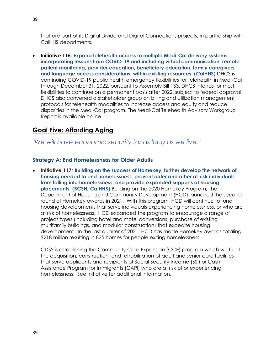that are part of its Digital Divide and Digital Connections projects, in partnership with CalHHS departments.

• **Initiative 115: Expand telehealth access to multiple Medi-Cal delivery systems, incorporating lessons from COVID-19 and including virtual communication, remote patient monitoring, provider education, beneficiary education, family caregivers, and language access considerations, within existing resources. (CalHHS)** DHCS is continuing COVID-19 public health emergency flexibilities for telehealth in Medi-Cal through December 31, 2022, pursuant to Assembly Bill 133. DHCS intends for most flexibilities to continue on a permanent basis after 2022, subject to federal approval. DHCS also convened a stakeholder group on billing and utilization management protocols for telehealth modalities to increase access and equity and reduce disparities in the Medi-Cal program. [The Medi-Cal Telehealth Advisory Workgroup](https://www.dhcs.ca.gov/provgovpart/Pages/TelehealthAdvisoryWorkgroup.aspx)  [Report is available online.](https://www.dhcs.ca.gov/provgovpart/Pages/TelehealthAdvisoryWorkgroup.aspx)

# <span id="page-38-0"></span>**Goal Five: Affording Aging**

*"We will have economic security for as long as we live."*

### **Strategy A: End Homelessness for Older Adults**

• **Initiative 117**: **Building on the success of Homekey, further develop the network of housing needed to end homelessness, prevent older and other at-risk individuals from falling into homelessness, and provide expanded supports at housing placements. (BCSH, CalHHS)** Building on the 2020 Homekey Program, The Department of Housing and Community Development (HCD) launched the second round of Homekey awards in 2021. With this program, HCD will continue to fund housing developments that serve individuals experiencing homelessness, or who are at risk of homelessness. HCD expanded the program to encourage a range of project types (including hotel and motel conversions, purchase of existing multifamily buildings, and modular construction) that expedite housing development. In the last quarter of 2021, HCD has made Homekey awards totaling \$218 million resulting in 825 homes for people exiting homelessness.

CDSS is establishing the Community Care Expansion (CCE) program which will fund the acquisition, construction, and rehabilitation of adult and senior care facilities that serve applicants and recipients of Social Security Income (SSI) or Cash Assistance Program for Immigrants (CAPI) who are at risk of or experiencing homelessness. See Initiative for additional information.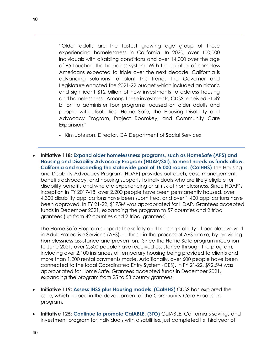"Older adults are the fastest growing age group of those experiencing homelessness in California. In 2020, over 100,000 individuals with disabling conditions and over 14,000 over the age of 65 touched the homeless system. With the number of homeless Americans expected to triple over the next decade, California is advancing solutions to blunt this trend. The Governor and Legislature enacted the 2021-22 budget which included an historic and significant \$12 billion of new investments to address housing and homelessness. Among these investments, CDSS received \$1.49 billion to administer four programs focused on older adults and people with disabilities: Home Safe, the Housing Disability and Advocacy Program, Project Roomkey, and Community Care Expansion."

- Kim Johnson, Director, CA Department of Social Services
- **Initiative 118: Expand older homelessness programs, such as HomeSafe (APS) and Housing and Disability Advocacy Program (HDAP/SSI), to meet needs as funds allow. California and exceeding the statewide goal of 15,000 rooms. (CalHHS)** The Housing and Disability Advocacy Program (HDAP) provides outreach, case management, benefits advocacy, and housing supports to individuals who are likely eligible for disability benefits and who are experiencing or at risk of homelessness. Since HDAP's inception in FY 2017-18, over 2,200 people have been permanently housed, over 4,300 disability applications have been submitted, and over 1,400 applications have been approved. In FY 21-22, \$175M was appropriated for HDAP. Grantees accepted funds in December 2021, expanding the program to 57 counties and 2 tribal grantees (up from 42 counties and 2 tribal grantees).

The Home Safe Program supports the safety and housing stability of people involved in Adult Protective Services (APS), or those in the process of APS intake, by providing homelessness assistance and prevention. Since the Home Safe program inception to June 2021, over 2,500 people have received assistance through the program, including over 2,100 instances of temporary housing being provided to clients and more than 1,200 rental payments made. Additionally, over 600 people have been connected to the local Coordinated Entry System (CES). In FY 21-22, \$92.5M was appropriated for Home Safe. Grantees accepted funds in December 2021, expanding the program from 25 to 58 county grantees.

- **Initiative 119: Assess IHSS plus Housing models. (CalHHS)** CDSS has explored the issue, which helped in the development of the Community Care Expansion program.
- **Initiative 125: Continue to promote CalABLE. (STO)** CalABLE, California's savings and investment program for individuals with disabilities, just completed its third year of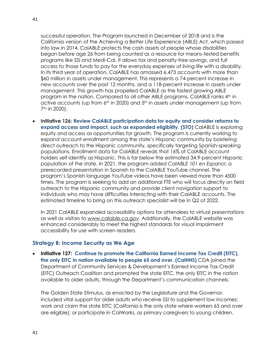successful operation. The Program launched in December of 2018 and is the California version of the Achieving a Better Life Experience (ABLE) Act, which passed into law in 2014. CalABLE protects the cash assets of people whose disabilities began before age 26 from being counted as a resource for means-tested benefits programs like SSI and Medi-Cal. It allows tax and penalty-free savings, and full access to those funds to pay for the everyday expenses of living life with a disability. In its third year of operation, CalABLE has amassed 6,473 accounts with more than \$60 million in assets under management. This represents a 74-percent increase in new accounts over the past 12 months, and a 118-percent increase in assets under management. This growth has propelled CalABLE as the fastest growing ABLE program in the nation. Compared to all other ABLE programs, CalABLE ranks 4<sup>th</sup> in active accounts (up from  $6<sup>th</sup>$  in 2020) and  $5<sup>th</sup>$  in assets under management (up from 7th in 2020).

• **Initiative 126: Review CalABLE participation data for equity and consider reforms to expand access and impact, such as expanded eligibility. (STO)** CalABLE is exploring equity and access as opportunities for growth. The program is currently working to expand account enrollment among the state's Hispanic community by bolstering direct outreach to the Hispanic community, specifically targeting Spanish-speaking populations. Enrollment data for CalABLE reveals that 16% of CalABLE account holders self-identify as Hispanic. This is far below the estimated 34.9-percent Hispanic population of the state. In 2021, the program added *CalABLE 101 en Espanol*, a prerecorded presentation in Spanish to the CalABLE YouTube channel. The program's Spanish language YouTube videos have been viewed more than 4500 times. The program is seeking to add an additional FTE who will focus directly on field outreach to the Hispanic community and provide client navigation support to individuals who may have difficulties interacting with their CalABLE accounts. The estimated timeline to bring on this outreach specialist will be in Q2 of 2022.

In 2021 CalABLE expanded accessibility options for attendees to virtual presentations as well as visitors to [www.calable.ca.gov.](https://gcc02.safelinks.protection.outlook.com/?url=http%3A%2F%2Fwww.calable.ca.gov%2F&data=04%7C01%7Camanda.lawrence%40aging.ca.gov%7C1ffd8b6d2f54472982fe08d9d084a178%7Ccc1525417fca4553885c4c3ac7328bb6%7C0%7C0%7C637770090356943642%7CUnknown%7CTWFpbGZsb3d8eyJWIjoiMC4wLjAwMDAiLCJQIjoiV2luMzIiLCJBTiI6Ik1haWwiLCJXVCI6Mn0%3D%7C3000&sdata=hM79TJj1Bjwnxc0RxDLc%2Fv0i5Vi%2BfIS48Pphgtf8Ulc%3D&reserved=0) Additionally, the CalABLE website was enhanced considerably to meet the highest standards for visual impairment accessibility for use with screen readers.

#### **Strategy B: Income Security as We Age**

• **Initiative 127: Continue to promote the California Earned Income Tax Credit (EITC), the only EITC in nation available to people 65 and over. (CalHHS)** CDA joined the Department of Community Services & Development's Earned Income Tax Credit (EITC) Outreach Coalition and promoted the state EITC, the only EITC in the nation available to older adults, through the Department's communication channels.

The Golden State Stimulus, as enacted by the Legislature and the Governor, included vital support for older adults who receive SSI to supplement low incomes; work and claim the state EITC (California is the only state where workers 65 and over are eligible); or participate in CalWorks, as primary caregivers to young children.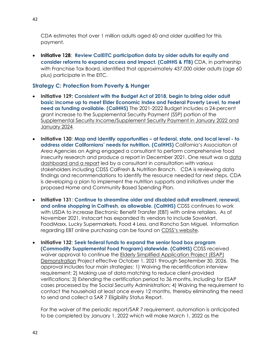CDA estimates that over 1 million adults aged 60 and older qualified for this payment.

• **Initiative 128**: **Review CalEITC participation data by older adults for equity and consider reforms to expand access and impact. (CalHHS & FTB)** CDA, in partnership with Franchise Tax Board, identified that approximately 437,000 older adults (age 60 plus) participate in the EITC.

### **Strategy C: Protection from Poverty & Hunger**

- **Initiative 129: Consistent with the Budget Act of 2018, begin to bring older adult basic income up to meet Elder Economic Index and Federal Poverty Level, to meet need as funding available. (CalHHS)** The 2021-2022 Budget includes a 24-percent grant increase to the Supplemental Security Payment (SSP) portion of the [Supplemental Security Income/Supplement Security Payment](https://www.cdss.ca.gov/inforesources/ssi-ssp) in January 2022 and January 2024.
- **Initiative 130**: **Map and identify opportunities – at federal, state, and local level - to address older Californians' needs for nutrition. (CalHHS)** California's Association of Area Agencies on Aging engaged a consultant to perform comprehensive food insecurity research and produce a report in December 2021. One result was a [data](https://djconsults.com/reports)  [dashboard and a report](https://djconsults.com/reports) led by a consultant in consultation with various stakeholders including CDSS CalFresh & Nutrition Branch. CDA is reviewing data findings and recommendations to identify the resource needed for next steps. CDA is developing a plan to implement the nutrition supports and initiatives under the proposed Home and Community Based Spending Plan.
- **Initiative 131**: **Continue to streamline older and disabled adult enrollment, renewal, and online shopping in CalFresh, as allowable. (CalHHS)** CDSS continues to work with USDA to increase Electronic Benefit Transfer (EBT) with online retailers. As of November 2021, Instacart has expanded its vendors to include SaveMart, FoodMaxx, Lucky Supermarkets, Food 4 Less, and Rancho San Miguel. Information regarding EBT online purchasing can be found on [CDSS's website](https://www.cdss.ca.gov/ebt-online).
- **Initiative 132**: **Seek federal funds to expand the senior food box program (Commodity Supplemental Food Program) statewide. (CalHHS)** CDSS received waiver approval to continue the [Elderly Simplified Application Project \(ESAP\)](http://calfresh.guide/elderly-simplified-application-project/#:~:text=CDSS%20received%20waivers%20to%20implement,households%20with%20no%20earned%20income.) [Demonstration](http://calfresh.guide/elderly-simplified-application-project/#:~:text=CDSS%20received%20waivers%20to%20implement,households%20with%20no%20earned%20income.) Project effective October 1, 2021 through September 30, 2026. The approval includes four main strategies: 1) Waiving the recertification interview requirement; 2) Making use of data matching to reduce client-provided verifications; 3) Extending the certification period to 36 months, including for ESAP cases processed by the Social Security Administration; 4) Waiving the requirement to contact the household at least once every 12 months, thereby eliminating the need to send and collect a SAR 7 Eligibility Status Report.

For the waiver of the periodic report/SAR 7 requirement, automation is anticipated to be completed by January 1, 2022 which will make March 1, 2022 as the